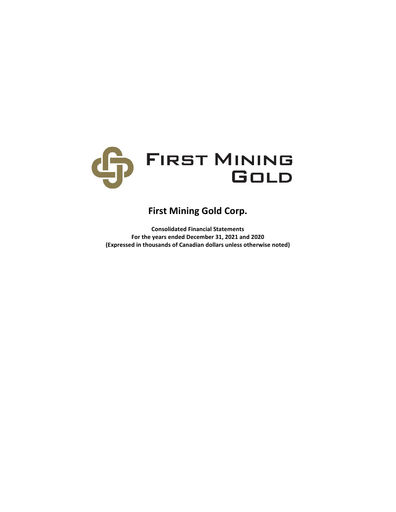

# **First Mining Gold Corp.**

**Consolidated Financial Statements For the years ended December 31, 2021 and 2020 (Expressed in thousands of Canadian dollars unless otherwise noted)**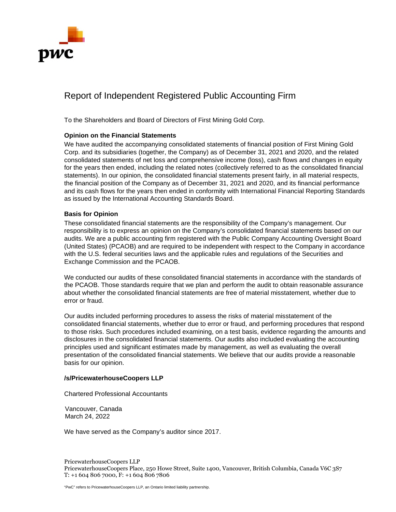

# Report of Independent Registered Public Accounting Firm

To the Shareholders and Board of Directors of First Mining Gold Corp.

# **Opinion on the Financial Statements**

We have audited the accompanying consolidated statements of financial position of First Mining Gold Corp. and its subsidiaries (together, the Company) as of December 31, 2021 and 2020, and the related consolidated statements of net loss and comprehensive income (loss), cash flows and changes in equity for the years then ended, including the related notes (collectively referred to as the consolidated financial statements). In our opinion, the consolidated financial statements present fairly, in all material respects, the financial position of the Company as of December 31, 2021 and 2020, and its financial performance and its cash flows for the years then ended in conformity with International Financial Reporting Standards as issued by the International Accounting Standards Board.

# **Basis for Opinion**

These consolidated financial statements are the responsibility of the Company's management. Our responsibility is to express an opinion on the Company's consolidated financial statements based on our audits. We are a public accounting firm registered with the Public Company Accounting Oversight Board (United States) (PCAOB) and are required to be independent with respect to the Company in accordance with the U.S. federal securities laws and the applicable rules and regulations of the Securities and Exchange Commission and the PCAOB.

We conducted our audits of these consolidated financial statements in accordance with the standards of the PCAOB. Those standards require that we plan and perform the audit to obtain reasonable assurance about whether the consolidated financial statements are free of material misstatement, whether due to error or fraud.

Our audits included performing procedures to assess the risks of material misstatement of the consolidated financial statements, whether due to error or fraud, and performing procedures that respond to those risks. Such procedures included examining, on a test basis, evidence regarding the amounts and disclosures in the consolidated financial statements. Our audits also included evaluating the accounting principles used and significant estimates made by management, as well as evaluating the overall presentation of the consolidated financial statements. We believe that our audits provide a reasonable basis for our opinion.

# **/s/PricewaterhouseCoopers LLP**

Chartered Professional Accountants

Vancouver, Canada March 24, 2022

We have served as the Company's auditor since 2017.

PricewaterhouseCoopers LLP PricewaterhouseCoopers Place, 250 Howe Street, Suite 1400, Vancouver, British Columbia, Canada V6C 3S7 T: +1 604 806 7000, F: +1 604 806 7806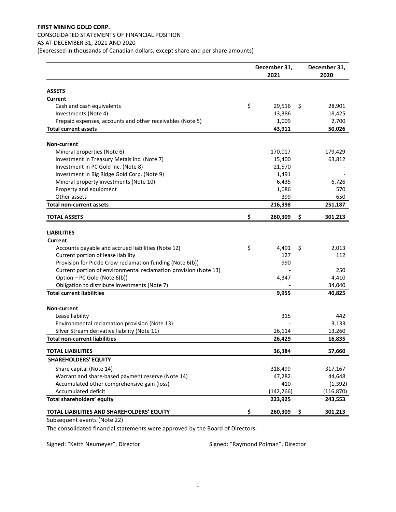# **FIRST MINING GOLD CORP.**  CONSOLIDATED STATEMENTS OF FINANCIAL POSITION AS AT DECEMBER 31, 2021 AND 2020

(Expressed in thousands of Canadian dollars, except share and per share amounts)

|                                                                  | December 31,<br>2021 | December 31,<br>2020 |
|------------------------------------------------------------------|----------------------|----------------------|
| <b>ASSETS</b>                                                    |                      |                      |
| Current                                                          |                      |                      |
| Cash and cash equivalents                                        | \$<br>29,516         | \$<br>28,901         |
| Investments (Note 4)                                             | 13,386               | 18,425               |
| Prepaid expenses, accounts and other receivables (Note 5)        | 1,009                | 2,700                |
| <b>Total current assets</b>                                      | 43,911               | 50,026               |
|                                                                  |                      |                      |
| <b>Non-current</b>                                               |                      |                      |
| Mineral properties (Note 6)                                      | 170,017              | 179,429              |
| Investment in Treasury Metals Inc. (Note 7)                      | 15,400               | 63,812               |
| Investment in PC Gold Inc. (Note 8)                              | 21,570               |                      |
| Investment in Big Ridge Gold Corp. (Note 9)                      | 1,491                |                      |
| Mineral property investments (Note 10)                           | 6,435                | 6,726                |
| Property and equipment                                           | 1,086                | 570                  |
| Other assets                                                     | 399                  | 650                  |
| <b>Total non-current assets</b>                                  | 216,398              | 251,187              |
| <b>TOTAL ASSETS</b>                                              | \$<br>260,309        | \$<br>301,213        |
| <b>LIABILITIES</b>                                               |                      |                      |
| Current                                                          |                      |                      |
| Accounts payable and accrued liabilities (Note 12)               | \$<br>4,491          | \$<br>2,013          |
| Current portion of lease liability                               | 127                  | 112                  |
| Provision for Pickle Crow reclamation funding (Note 6(b))        | 990                  |                      |
| Current portion of environmental reclamation provision (Note 13) |                      | 250                  |
| Option - PC Gold (Note 6(b))                                     | 4,347                | 4,410                |
| Obligation to distribute investments (Note 7)                    |                      | 34,040               |
| <b>Total current liabilities</b>                                 | 9,955                | 40,825               |
| <b>Non-current</b>                                               |                      |                      |
| Lease liability                                                  | 315                  | 442                  |
| Environmental reclamation provision (Note 13)                    |                      | 3,133                |
| Silver Stream derivative liability (Note 11)                     | 26,114               | 13,260               |
| <b>Total non-current liabilities</b>                             | 26,429               | 16,835               |
| <b>TOTAL LIABILITIES</b>                                         | 36,384               | 57,660               |
| <b>SHAREHOLDERS' EQUITY</b>                                      |                      |                      |
| Share capital (Note 14)                                          | 318,499              | 317,167              |
| Warrant and share-based payment reserve (Note 14)                | 47,282               | 44,648               |
| Accumulated other comprehensive gain (loss)                      | 410                  | (1, 392)             |
| Accumulated deficit                                              | (142, 266)           | (116, 870)           |
| Total shareholders' equity                                       | 223,925              | 243,553              |
| TOTAL LIABILITIES AND SHAREHOLDERS' EQUITY                       | \$<br>260,309        | \$<br>301,213        |

Subsequent events (Note 22)

The consolidated financial statements were approved by the Board of Directors:

Signed: "Keith Neumeyer", Director Signed: "Raymond Polman", Director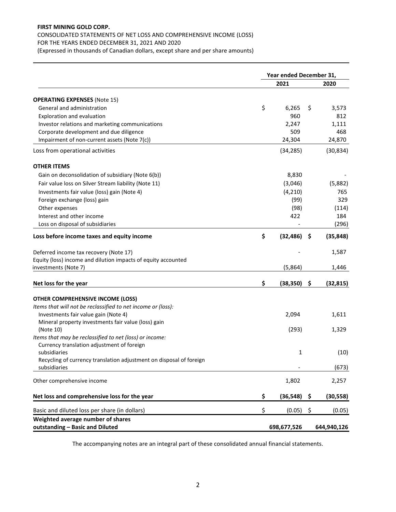# CONSOLIDATED STATEMENTS OF NET LOSS AND COMPREHENSIVE INCOME (LOSS) FOR THE YEARS ENDED DECEMBER 31, 2021 AND 2020

(Expressed in thousands of Canadian dollars, except share and per share amounts)

|                                                                      | Year ended December 31, |             |    |             |  |  |
|----------------------------------------------------------------------|-------------------------|-------------|----|-------------|--|--|
|                                                                      |                         | 2021        |    | 2020        |  |  |
| <b>OPERATING EXPENSES (Note 15)</b>                                  |                         |             |    |             |  |  |
| General and administration                                           | \$                      | 6.265       | \$ | 3,573       |  |  |
| Exploration and evaluation                                           |                         | 960         |    | 812         |  |  |
| Investor relations and marketing communications                      |                         | 2,247       |    | 1,111       |  |  |
| Corporate development and due diligence                              |                         | 509         |    | 468         |  |  |
| Impairment of non-current assets (Note 7(c))                         |                         | 24,304      |    | 24,870      |  |  |
| Loss from operational activities                                     |                         | (34, 285)   |    | (30, 834)   |  |  |
| <b>OTHER ITEMS</b>                                                   |                         |             |    |             |  |  |
| Gain on deconsolidation of subsidiary (Note 6(b))                    |                         | 8,830       |    |             |  |  |
| Fair value loss on Silver Stream liability (Note 11)                 |                         | (3,046)     |    | (5,882)     |  |  |
| Investments fair value (loss) gain (Note 4)                          |                         | (4, 210)    |    | 765         |  |  |
| Foreign exchange (loss) gain                                         |                         | (99)        |    | 329         |  |  |
| Other expenses                                                       |                         | (98)        |    | (114)       |  |  |
| Interest and other income                                            |                         | 422         |    | 184         |  |  |
| Loss on disposal of subsidiaries                                     |                         |             |    | (296)       |  |  |
| Loss before income taxes and equity income                           | \$                      | (32, 486)   | s  | (35, 848)   |  |  |
| Deferred income tax recovery (Note 17)                               |                         |             |    | 1,587       |  |  |
| Equity (loss) income and dilution impacts of equity accounted        |                         |             |    |             |  |  |
| investments (Note 7)                                                 |                         | (5,864)     |    | 1,446       |  |  |
| Net loss for the year                                                | \$                      | (38, 350)   | \$ | (32, 815)   |  |  |
| <b>OTHER COMPREHENSIVE INCOME (LOSS)</b>                             |                         |             |    |             |  |  |
| Items that will not be reclassified to net income or (loss):         |                         |             |    |             |  |  |
| Investments fair value gain (Note 4)                                 |                         | 2,094       |    | 1,611       |  |  |
| Mineral property investments fair value (loss) gain                  |                         |             |    |             |  |  |
| (Note 10)                                                            |                         | (293)       |    | 1,329       |  |  |
| Items that may be reclassified to net (loss) or income:              |                         |             |    |             |  |  |
| Currency translation adjustment of foreign                           |                         |             |    |             |  |  |
| subsidiaries                                                         |                         | 1           |    | (10)        |  |  |
| Recycling of currency translation adjustment on disposal of foreign  |                         |             |    |             |  |  |
| subsidiaries                                                         |                         |             |    | (673)       |  |  |
| Other comprehensive income                                           |                         | 1,802       |    | 2,257       |  |  |
| Net loss and comprehensive loss for the year                         | \$                      | (36, 548)   | \$ | (30, 558)   |  |  |
| Basic and diluted loss per share (in dollars)                        | \$                      | (0.05)      | \$ | (0.05)      |  |  |
| Weighted average number of shares<br>outstanding - Basic and Diluted |                         | 698,677,526 |    | 644,940,126 |  |  |

The accompanying notes are an integral part of these consolidated annual financial statements.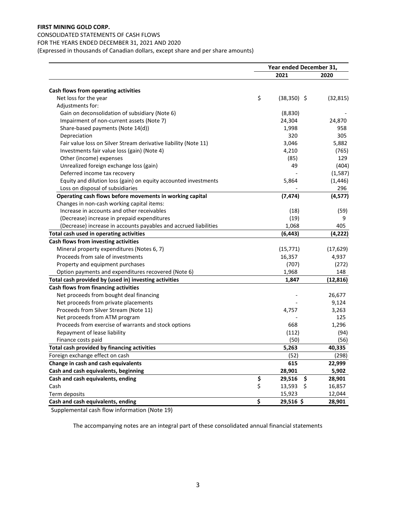# CONSOLIDATED STATEMENTS OF CASH FLOWS FOR THE YEARS ENDED DECEMBER 31, 2021 AND 2020

(Expressed in thousands of Canadian dollars, except share and per share amounts)

|                                                                  | Year ended December 31, |           |
|------------------------------------------------------------------|-------------------------|-----------|
|                                                                  | 2021                    | 2020      |
| Cash flows from operating activities                             |                         |           |
| Net loss for the year                                            | \$<br>$(38, 350)$ \$    | (32, 815) |
| Adjustments for:                                                 |                         |           |
| Gain on deconsolidation of subsidiary (Note 6)                   | (8,830)                 |           |
| Impairment of non-current assets (Note 7)                        | 24,304                  | 24,870    |
| Share-based payments (Note 14(d))                                | 1,998                   | 958       |
| Depreciation                                                     | 320                     | 305       |
| Fair value loss on Silver Stream derivative liability (Note 11)  | 3,046                   | 5,882     |
| Investments fair value loss (gain) (Note 4)                      | 4,210                   | (765)     |
| Other (income) expenses                                          | (85)                    | 129       |
| Unrealized foreign exchange loss (gain)                          | 49                      | (404)     |
| Deferred income tax recovery                                     |                         | (1, 587)  |
| Equity and dilution loss (gain) on equity accounted investments  | 5,864                   | (1, 446)  |
| Loss on disposal of subsidiaries                                 |                         | 296       |
| Operating cash flows before movements in working capital         | (7, 474)                | (4, 577)  |
| Changes in non-cash working capital items:                       |                         |           |
| Increase in accounts and other receivables                       | (18)                    | (59)      |
| (Decrease) increase in prepaid expenditures                      | (19)                    | 9         |
| (Decrease) increase in accounts payables and accrued liabilities | 1,068                   | 405       |
| Total cash used in operating activities                          | (6, 443)                | (4, 222)  |
| Cash flows from investing activities                             |                         |           |
| Mineral property expenditures (Notes 6, 7)                       | (15, 771)               | (17, 629) |
| Proceeds from sale of investments                                | 16,357                  | 4,937     |
| Property and equipment purchases                                 | (707)                   | (272)     |
| Option payments and expenditures recovered (Note 6)              | 1,968                   | 148       |
| Total cash provided by (used in) investing activities            | 1,847                   | (12, 816) |
| Cash flows from financing activities                             |                         |           |
| Net proceeds from bought deal financing                          |                         | 26,677    |
| Net proceeds from private placements                             |                         | 9,124     |
| Proceeds from Silver Stream (Note 11)                            | 4,757                   | 3,263     |
| Net proceeds from ATM program                                    |                         | 125       |
| Proceeds from exercise of warrants and stock options             | 668                     | 1,296     |
| Repayment of lease liability                                     | (112)                   | (94)      |
| Finance costs paid                                               | (50)                    | (56)      |
| Total cash provided by financing activities                      | 5,263                   | 40,335    |
| Foreign exchange effect on cash                                  | (52)                    | (298)     |
| Change in cash and cash equivalents                              | 615                     | 22,999    |
| Cash and cash equivalents, beginning                             | 28,901                  | 5,902     |
| Cash and cash equivalents, ending                                | \$<br>29,516<br>\$      | 28,901    |
| Cash                                                             | \$<br>13,593<br>\$      | 16,857    |
| Term deposits                                                    | 15,923                  | 12,044    |
| Cash and cash equivalents, ending                                | \$<br>29,516 \$         | 28,901    |

Supplemental cash flow information (Note 19)

The accompanying notes are an integral part of these consolidated annual financial statements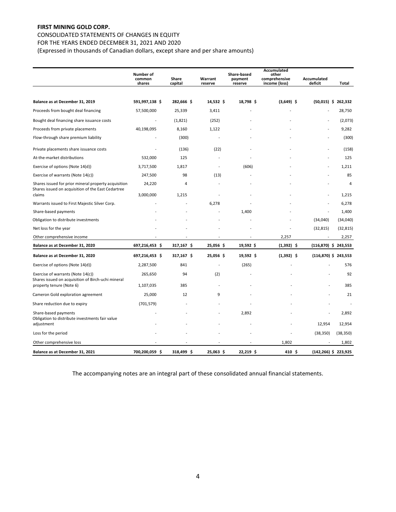# CONSOLIDATED STATEMENTS OF CHANGES IN EQUITY

FOR THE YEARS ENDED DECEMBER 31, 2021 AND 2020

(Expressed in thousands of Canadian dollars, except share and per share amounts)

|                                                                                | Number of<br>common<br>shares | Share<br>capital | Warrant<br>reserve | <b>Share-based</b><br>payment<br>reserve | Accumulated<br>other<br>comprehensive<br>income (loss) | Accumulated<br>deficit  | Total          |
|--------------------------------------------------------------------------------|-------------------------------|------------------|--------------------|------------------------------------------|--------------------------------------------------------|-------------------------|----------------|
|                                                                                |                               |                  |                    |                                          |                                                        |                         |                |
| Balance as at December 31, 2019                                                | 591,997,138 \$                | 282,666 \$       | 14,532 \$          | 18,798 \$                                | $(3,649)$ \$                                           | $(50,015)$ \$ 262,332   |                |
| Proceeds from bought deal financing                                            | 57,500,000                    | 25,339           | 3,411              |                                          |                                                        |                         | 28,750         |
| Bought deal financing share issuance costs                                     |                               | (1,821)          | (252)              |                                          |                                                        |                         | (2,073)        |
| Proceeds from private placements                                               | 40,198,095                    | 8,160            | 1,122              |                                          |                                                        |                         | 9,282          |
| Flow-through share premium liability                                           |                               | (300)            | $\overline{a}$     |                                          |                                                        |                         | (300)          |
| Private placements share issuance costs                                        |                               | (136)            | (22)               |                                          |                                                        |                         | (158)          |
| At-the-market distributions                                                    | 532,000                       | 125              |                    |                                          |                                                        |                         | 125            |
| Exercise of options (Note 14(d))                                               | 3,717,500                     | 1,817            | ÷                  | (606)                                    |                                                        |                         | 1,211          |
| Exercise of warrants (Note 14(c))                                              | 247,500                       | 98               | (13)               |                                          |                                                        |                         | 85             |
| Shares issued for prior mineral property acquisition                           | 24,220                        | 4                |                    |                                          |                                                        |                         | $\overline{4}$ |
| Shares issued on acquisition of the East Cedartree<br>claims                   | 3,000,000                     | 1,215            |                    |                                          |                                                        |                         | 1,215          |
| Warrants issued to First Majestic Silver Corp.                                 |                               |                  | 6,278              |                                          |                                                        |                         | 6,278          |
| Share-based payments                                                           |                               |                  |                    | 1,400                                    |                                                        |                         | 1,400          |
| Obligation to distribute investments                                           |                               |                  |                    |                                          |                                                        | (34,040)                | (34,040)       |
| Net loss for the year                                                          |                               |                  |                    |                                          |                                                        | (32, 815)               | (32, 815)      |
| Other comprehensive income                                                     |                               |                  |                    |                                          | 2,257                                                  |                         | 2,257          |
| Balance as at December 31, 2020                                                | 697,216,453 \$                | 317,167 \$       | 25,056 \$          | 19,592 \$                                | $(1,392)$ \$                                           | $(116,870)$ \$ 243,553  |                |
| Balance as at December 31, 2020                                                | 697,216,453 \$                | 317,167 \$       | 25,056 \$          | 19,592 \$                                | $(1,392)$ \$                                           | $(116,870)$ \$ 243,553  |                |
| Exercise of options (Note 14(d))                                               | 2,287,500                     | 841              |                    | (265)                                    |                                                        |                         | 576            |
| Exercise of warrants (Note 14(c))                                              | 265,650                       | 94               | (2)                |                                          |                                                        |                         | 92             |
| Shares issued on acquisition of Birch-uchi mineral<br>property tenure (Note 6) | 1,107,035                     | 385              |                    |                                          |                                                        |                         | 385            |
| Cameron Gold exploration agreement                                             | 25,000                        | 12               | 9                  |                                          |                                                        |                         | 21             |
| Share reduction due to expiry                                                  | (701, 579)                    |                  |                    |                                          |                                                        |                         |                |
| Share-based payments                                                           |                               |                  |                    | 2,892                                    |                                                        |                         | 2,892          |
| Obligation to distribute investments fair value<br>adjustment                  |                               |                  |                    |                                          |                                                        | 12,954                  | 12,954         |
| Loss for the period                                                            |                               |                  |                    |                                          |                                                        | (38, 350)               | (38, 350)      |
| Other comprehensive loss                                                       |                               |                  |                    |                                          | 1,802                                                  |                         | 1,802          |
| Balance as at December 31, 2021                                                | 700,200,059 \$                | 318,499 \$       | 25,063 \$          | 22,219 \$                                | 410\$                                                  | $(142, 266)$ \$ 223,925 |                |

The accompanying notes are an integral part of these consolidated annual financial statements.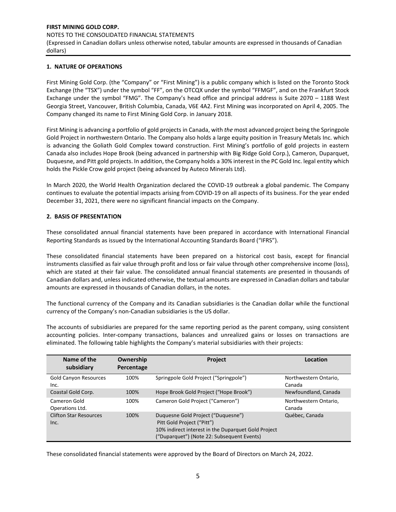# **1. NATURE OF OPERATIONS**

First Mining Gold Corp. (the "Company" or "First Mining") is a public company which is listed on the Toronto Stock Exchange (the "TSX") under the symbol "FF", on the OTCQX under the symbol "FFMGF", and on the Frankfurt Stock Exchange under the symbol "FMG". The Company's head office and principal address is Suite 2070 – 1188 West Georgia Street, Vancouver, British Columbia, Canada, V6E 4A2. First Mining was incorporated on April 4, 2005. The Company changed its name to First Mining Gold Corp. in January 2018.

First Mining is advancing a portfolio of gold projects in Canada, with *the* most advanced project being the Springpole Gold Project in northwestern Ontario. The Company also holds a large equity position in Treasury Metals Inc. which is advancing the Goliath Gold Complex toward construction. First Mining's portfolio of gold projects in eastern Canada also includes Hope Brook (being [advanced in partnership with Big Ridge Gold](https://firstmininggold.com/news/releases/first-mining-announces-closing-of-earn-in-transaction-with-big-ridge-gold) Corp.), Cameron, Duparquet, Duquesne, and Pitt gold projects. In addition, the Company holds a 30% interest in the PC Gold Inc. legal entity which holds the Pickle Crow gold project (being [advanced by Auteco Minerals](https://can01.safelinks.protection.outlook.com/?url=https%3A%2F%2Fwww.firstmininggold.com%2Fnews%2Freleases%2Ffirst-mining-partners-with-auteco-to-advance-its-pickle-crow-gold-project&data=02%7C01%7Cspiros%40firstmininggold.com%7Cfd619baf467243ac240108d84fc21453%7C3564d7a87e774cf9aee2f8fb0795b85e%7C0%7C0%7C637347042261240296&sdata=4T7jmXs5w440KrLTkegXHGGoD8HxJ%2FZRX9qzlYW91Ks%3D&reserved=0) Ltd).

In March 2020, the World Health Organization declared the COVID-19 outbreak a global pandemic. The Company continues to evaluate the potential impacts arising from COVID-19 on all aspects of its business. For the year ended December 31, 2021, there were no significant financial impacts on the Company.

## **2. BASIS OF PRESENTATION**

These consolidated annual financial statements have been prepared in accordance with International Financial Reporting Standards as issued by the International Accounting Standards Board ("IFRS").

These consolidated financial statements have been prepared on a historical cost basis, except for financial instruments classified as fair value through profit and loss or fair value through other comprehensive income (loss), which are stated at their fair value. The consolidated annual financial statements are presented in thousands of Canadian dollars and, unless indicated otherwise, the textual amounts are expressed in Canadian dollars and tabular amounts are expressed in thousands of Canadian dollars, in the notes.

The functional currency of the Company and its Canadian subsidiaries is the Canadian dollar while the functional currency of the Company's non-Canadian subsidiaries is the US dollar.

The accounts of subsidiaries are prepared for the same reporting period as the parent company, using consistent accounting policies. Inter-company transactions, balances and unrealized gains or losses on transactions are eliminated. The following table highlights the Company's material subsidiaries with their projects:

| Name of the<br>subsidiary             | Ownership<br>Percentage | <b>Project</b>                                                                                                                                                        | Location                        |
|---------------------------------------|-------------------------|-----------------------------------------------------------------------------------------------------------------------------------------------------------------------|---------------------------------|
| <b>Gold Canyon Resources</b><br>Inc.  | 100%                    | Springpole Gold Project ("Springpole")                                                                                                                                | Northwestern Ontario,<br>Canada |
| Coastal Gold Corp.                    | 100%                    | Hope Brook Gold Project ("Hope Brook")                                                                                                                                | Newfoundland, Canada            |
| Cameron Gold<br>Operations Ltd.       | 100%                    | Cameron Gold Project ("Cameron")                                                                                                                                      | Northwestern Ontario,<br>Canada |
| <b>Clifton Star Resources</b><br>Inc. | 100%                    | Duquesne Gold Project ("Duquesne")<br>Pitt Gold Project ("Pitt")<br>10% indirect interest in the Duparquet Gold Project<br>("Duparquet") (Note 22: Subsequent Events) | Québec, Canada                  |

These consolidated financial statements were approved by the Board of Directors on March 24, 2022.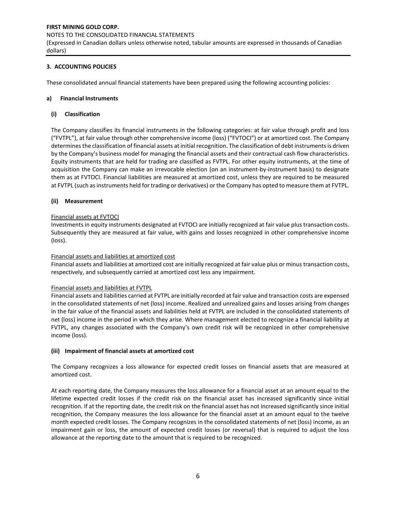# **3. ACCOUNTING POLICIES**

These consolidated annual financial statements have been prepared using the following accounting policies:

# **a) Financial Instruments**

# **(i) Classification**

The Company classifies its financial instruments in the following categories: at fair value through profit and loss ("FVTPL"), at fair value through other comprehensive income (loss) ("FVTOCI") or at amortized cost. The Company determines the classification of financial assets at initial recognition. The classification of debt instruments is driven by the Company's business model for managing the financial assets and their contractual cash flow characteristics. Equity instruments that are held for trading are classified as FVTPL. For other equity instruments, at the time of acquisition the Company can make an irrevocable election (on an instrument-by-instrument basis) to designate them as at FVTOCI. Financial liabilities are measured at amortized cost, unless they are required to be measured at FVTPL (such as instruments held for trading or derivatives) or the Company has opted to measure them at FVTPL.

## **(ii) Measurement**

## Financial assets at FVTOCI

Investments in equity instruments designated at FVTOCI are initially recognized at fair value plus transaction costs. Subsequently they are measured at fair value, with gains and losses recognized in other comprehensive income (loss).

## Financial assets and liabilities at amortized cost

Financial assets and liabilities at amortized cost are initially recognized at fair value plus or minus transaction costs, respectively, and subsequently carried at amortized cost less any impairment.

#### Financial assets and liabilities at FVTPL

Financial assets and liabilities carried at FVTPL are initially recorded at fair value and transaction costs are expensed in the consolidated statements of net (loss) income. Realized and unrealized gains and losses arising from changes in the fair value of the financial assets and liabilities held at FVTPL are included in the consolidated statements of net (loss) income in the period in which they arise. Where management elected to recognize a financial liability at FVTPL, any changes associated with the Company's own credit risk will be recognized in other comprehensive income (loss).

#### **(iii) Impairment of financial assets at amortized cost**

The Company recognizes a loss allowance for expected credit losses on financial assets that are measured at amortized cost.

At each reporting date, the Company measures the loss allowance for a financial asset at an amount equal to the lifetime expected credit losses if the credit risk on the financial asset has increased significantly since initial recognition. If at the reporting date, the credit risk on the financial asset has not increased significantly since initial recognition, the Company measures the loss allowance for the financial asset at an amount equal to the twelve month expected credit losses. The Company recognizes in the consolidated statements of net (loss) income, as an impairment gain or loss, the amount of expected credit losses (or reversal) that is required to adjust the loss allowance at the reporting date to the amount that is required to be recognized.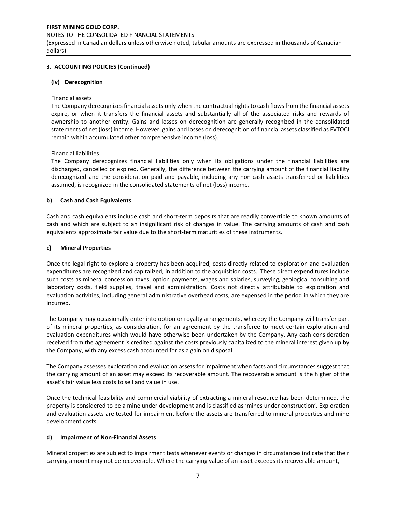## NOTES TO THE CONSOLIDATED FINANCIAL STATEMENTS

(Expressed in Canadian dollars unless otherwise noted, tabular amounts are expressed in thousands of Canadian dollars)

# **3. ACCOUNTING POLICIES (Continued)**

## **(iv) Derecognition**

## Financial assets

The Company derecognizes financial assets only when the contractual rights to cash flows from the financial assets expire, or when it transfers the financial assets and substantially all of the associated risks and rewards of ownership to another entity. Gains and losses on derecognition are generally recognized in the consolidated statements of net (loss) income. However, gains and losses on derecognition of financial assets classified as FVTOCI remain within accumulated other comprehensive income (loss).

## Financial liabilities

The Company derecognizes financial liabilities only when its obligations under the financial liabilities are discharged, cancelled or expired. Generally, the difference between the carrying amount of the financial liability derecognized and the consideration paid and payable, including any non-cash assets transferred or liabilities assumed, is recognized in the consolidated statements of net (loss) income.

# **b) Cash and Cash Equivalents**

Cash and cash equivalents include cash and short-term deposits that are readily convertible to known amounts of cash and which are subject to an insignificant risk of changes in value. The carrying amounts of cash and cash equivalents approximate fair value due to the short-term maturities of these instruments.

## **c) Mineral Properties**

Once the legal right to explore a property has been acquired, costs directly related to exploration and evaluation expenditures are recognized and capitalized, in addition to the acquisition costs. These direct expenditures include such costs as mineral concession taxes, option payments, wages and salaries, surveying, geological consulting and laboratory costs, field supplies, travel and administration. Costs not directly attributable to exploration and evaluation activities, including general administrative overhead costs, are expensed in the period in which they are incurred.

The Company may occasionally enter into option or royalty arrangements, whereby the Company will transfer part of its mineral properties, as consideration, for an agreement by the transferee to meet certain exploration and evaluation expenditures which would have otherwise been undertaken by the Company. Any cash consideration received from the agreement is credited against the costs previously capitalized to the mineral interest given up by the Company, with any excess cash accounted for as a gain on disposal.

The Company assesses exploration and evaluation assets for impairment when facts and circumstances suggest that the carrying amount of an asset may exceed its recoverable amount. The recoverable amount is the higher of the asset's fair value less costs to sell and value in use.

Once the technical feasibility and commercial viability of extracting a mineral resource has been determined, the property is considered to be a mine under development and is classified as 'mines under construction'. Exploration and evaluation assets are tested for impairment before the assets are transferred to mineral properties and mine development costs.

# **d) Impairment of Non-Financial Assets**

Mineral properties are subject to impairment tests whenever events or changes in circumstances indicate that their carrying amount may not be recoverable. Where the carrying value of an asset exceeds its recoverable amount,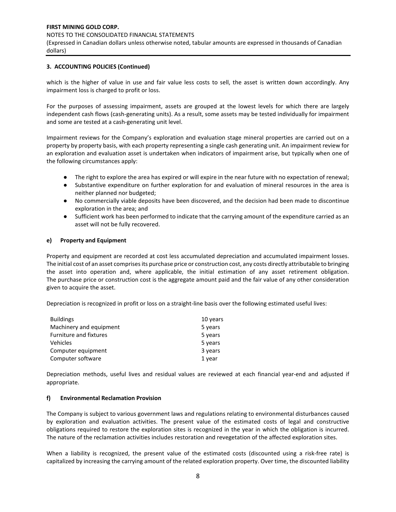# **3. ACCOUNTING POLICIES (Continued)**

which is the higher of value in use and fair value less costs to sell, the asset is written down accordingly. Any impairment loss is charged to profit or loss.

For the purposes of assessing impairment, assets are grouped at the lowest levels for which there are largely independent cash flows (cash-generating units). As a result, some assets may be tested individually for impairment and some are tested at a cash-generating unit level.

Impairment reviews for the Company's exploration and evaluation stage mineral properties are carried out on a property by property basis, with each property representing a single cash generating unit. An impairment review for an exploration and evaluation asset is undertaken when indicators of impairment arise, but typically when one of the following circumstances apply:

- The right to explore the area has expired or will expire in the near future with no expectation of renewal;
- Substantive expenditure on further exploration for and evaluation of mineral resources in the area is neither planned nor budgeted;
- No commercially viable deposits have been discovered, and the decision had been made to discontinue exploration in the area; and
- Sufficient work has been performed to indicate that the carrying amount of the expenditure carried as an asset will not be fully recovered.

## **e) Property and Equipment**

Property and equipment are recorded at cost less accumulated depreciation and accumulated impairment losses. The initial cost of an asset comprises its purchase price or construction cost, any costs directly attributable to bringing the asset into operation and, where applicable, the initial estimation of any asset retirement obligation. The purchase price or construction cost is the aggregate amount paid and the fair value of any other consideration given to acquire the asset.

Depreciation is recognized in profit or loss on a straight-line basis over the following estimated useful lives:

| <b>Buildings</b>              | 10 years |
|-------------------------------|----------|
| Machinery and equipment       | 5 years  |
| <b>Furniture and fixtures</b> | 5 years  |
| Vehicles                      | 5 years  |
| Computer equipment            | 3 years  |
| Computer software             | 1 year   |

Depreciation methods, useful lives and residual values are reviewed at each financial year-end and adjusted if appropriate.

#### **f) Environmental Reclamation Provision**

The Company is subject to various government laws and regulations relating to environmental disturbances caused by exploration and evaluation activities. The present value of the estimated costs of legal and constructive obligations required to restore the exploration sites is recognized in the year in which the obligation is incurred. The nature of the reclamation activities includes restoration and revegetation of the affected exploration sites.

When a liability is recognized, the present value of the estimated costs (discounted using a risk-free rate) is capitalized by increasing the carrying amount of the related exploration property. Over time, the discounted liability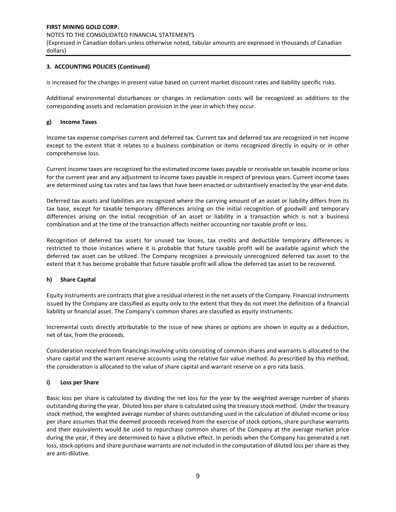# **3. ACCOUNTING POLICIES (Continued)**

is increased for the changes in present value based on current market discount rates and liability specific risks.

Additional environmental disturbances or changes in reclamation costs will be recognized as additions to the corresponding assets and reclamation provision in the year in which they occur.

## **g) Income Taxes**

Income tax expense comprises current and deferred tax. Current tax and deferred tax are recognized in net income except to the extent that it relates to a business combination or items recognized directly in equity or in other comprehensive loss.

Current income taxes are recognized for the estimated income taxes payable or receivable on taxable income or loss for the current year and any adjustment to income taxes payable in respect of previous years. Current income taxes are determined using tax rates and tax laws that have been enacted or substantively enacted by the year-end date.

Deferred tax assets and liabilities are recognized where the carrying amount of an asset or liability differs from its tax base, except for taxable temporary differences arising on the initial recognition of goodwill and temporary differences arising on the initial recognition of an asset or liability in a transaction which is not a business combination and at the time of the transaction affects neither accounting nor taxable profit or loss.

Recognition of deferred tax assets for unused tax losses, tax credits and deductible temporary differences is restricted to those instances where it is probable that future taxable profit will be available against which the deferred tax asset can be utilized. The Company recognizes a previously unrecognized deferred tax asset to the extent that it has become probable that future taxable profit will allow the deferred tax asset to be recovered.

#### **h) Share Capital**

Equity instruments are contracts that give a residual interest in the net assets of the Company. Financial instruments issued by the Company are classified as equity only to the extent that they do not meet the definition of a financial liability or financial asset. The Company's common shares are classified as equity instruments.

Incremental costs directly attributable to the issue of new shares or options are shown in equity as a deduction, net of tax, from the proceeds.

Consideration received from financings involving units consisting of common shares and warrants is allocated to the share capital and the warrant reserve accounts using the relative fair value method. As prescribed by this method, the consideration is allocated to the value of share capital and warrant reserve on a pro rata basis.

#### **i) Loss per Share**

Basic loss per share is calculated by dividing the net loss for the year by the weighted average number of shares outstanding during the year. Diluted loss per share is calculated using the treasury stock method. Under the treasury stock method, the weighted average number of shares outstanding used in the calculation of diluted income or loss per share assumes that the deemed proceeds received from the exercise of stock options, share purchase warrants and their equivalents would be used to repurchase common shares of the Company at the average market price during the year, if they are determined to have a dilutive effect. In periods when the Company has generated a net loss, stock options and share purchase warrants are not included in the computation of diluted loss per share as they are anti-dilutive.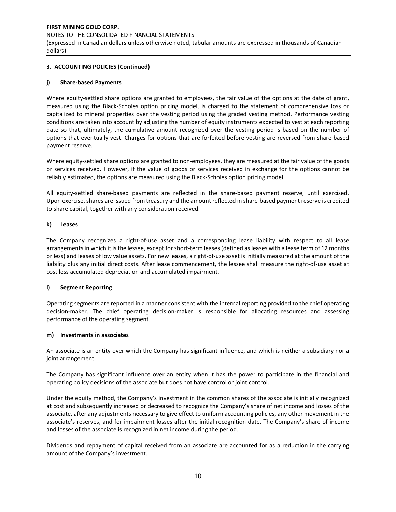# **FIRST MINING GOLD CORP.**  NOTES TO THE CONSOLIDATED FINANCIAL STATEMENTS

(Expressed in Canadian dollars unless otherwise noted, tabular amounts are expressed in thousands of Canadian dollars)

# **3. ACCOUNTING POLICIES (Continued)**

# **j) Share-based Payments**

Where equity-settled share options are granted to employees, the fair value of the options at the date of grant, measured using the Black-Scholes option pricing model, is charged to the statement of comprehensive loss or capitalized to mineral properties over the vesting period using the graded vesting method. Performance vesting conditions are taken into account by adjusting the number of equity instruments expected to vest at each reporting date so that, ultimately, the cumulative amount recognized over the vesting period is based on the number of options that eventually vest. Charges for options that are forfeited before vesting are reversed from share-based payment reserve.

Where equity-settled share options are granted to non-employees, they are measured at the fair value of the goods or services received. However, if the value of goods or services received in exchange for the options cannot be reliably estimated, the options are measured using the Black-Scholes option pricing model.

All equity-settled share-based payments are reflected in the share-based payment reserve, until exercised. Upon exercise, shares are issued from treasury and the amount reflected in share-based payment reserve is credited to share capital, together with any consideration received.

# **k) Leases**

The Company recognizes a right-of-use asset and a corresponding lease liability with respect to all lease arrangements in which it is the lessee, except for short-term leases (defined as leases with a lease term of 12 months or less) and leases of low value assets. For new leases, a right-of-use asset is initially measured at the amount of the liability plus any initial direct costs. After lease commencement, the lessee shall measure the right-of-use asset at cost less accumulated depreciation and accumulated impairment.

# **l) Segment Reporting**

Operating segments are reported in a manner consistent with the internal reporting provided to the chief operating decision-maker. The chief operating decision-maker is responsible for allocating resources and assessing performance of the operating segment.

# **m) Investments in associates**

An associate is an entity over which the Company has significant influence, and which is neither a subsidiary nor a joint arrangement.

The Company has significant influence over an entity when it has the power to participate in the financial and operating policy decisions of the associate but does not have control or joint control.

Under the equity method, the Company's investment in the common shares of the associate is initially recognized at cost and subsequently increased or decreased to recognize the Company's share of net income and losses of the associate, after any adjustments necessary to give effect to uniform accounting policies, any other movement in the associate's reserves, and for impairment losses after the initial recognition date. The Company's share of income and losses of the associate is recognized in net income during the period.

Dividends and repayment of capital received from an associate are accounted for as a reduction in the carrying amount of the Company's investment.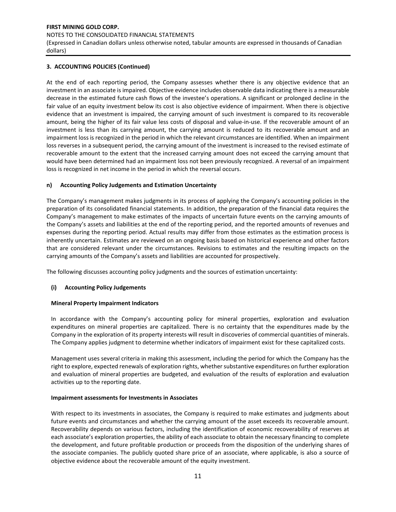(Expressed in Canadian dollars unless otherwise noted, tabular amounts are expressed in thousands of Canadian dollars)

# **3. ACCOUNTING POLICIES (Continued)**

At the end of each reporting period, the Company assesses whether there is any objective evidence that an investment in an associate is impaired. Objective evidence includes observable data indicating there is a measurable decrease in the estimated future cash flows of the investee's operations. A significant or prolonged decline in the fair value of an equity investment below its cost is also objective evidence of impairment. When there is objective evidence that an investment is impaired, the carrying amount of such investment is compared to its recoverable amount, being the higher of its fair value less costs of disposal and value-in-use. If the recoverable amount of an investment is less than its carrying amount, the carrying amount is reduced to its recoverable amount and an impairment loss is recognized in the period in which the relevant circumstances are identified. When an impairment loss reverses in a subsequent period, the carrying amount of the investment is increased to the revised estimate of recoverable amount to the extent that the increased carrying amount does not exceed the carrying amount that would have been determined had an impairment loss not been previously recognized. A reversal of an impairment loss is recognized in net income in the period in which the reversal occurs.

# **n) Accounting Policy Judgements and Estimation Uncertainty**

The Company's management makes judgments in its process of applying the Company's accounting policies in the preparation of its consolidated financial statements. In addition, the preparation of the financial data requires the Company's management to make estimates of the impacts of uncertain future events on the carrying amounts of the Company's assets and liabilities at the end of the reporting period, and the reported amounts of revenues and expenses during the reporting period. Actual results may differ from those estimates as the estimation process is inherently uncertain. Estimates are reviewed on an ongoing basis based on historical experience and other factors that are considered relevant under the circumstances. Revisions to estimates and the resulting impacts on the carrying amounts of the Company's assets and liabilities are accounted for prospectively.

The following discusses accounting policy judgments and the sources of estimation uncertainty:

# **(i) Accounting Policy Judgements**

# **Mineral Property Impairment Indicators**

In accordance with the Company's accounting policy for mineral properties, exploration and evaluation expenditures on mineral properties are capitalized. There is no certainty that the expenditures made by the Company in the exploration of its property interests will result in discoveries of commercial quantities of minerals. The Company applies judgment to determine whether indicators of impairment exist for these capitalized costs.

Management uses several criteria in making this assessment, including the period for which the Company has the right to explore, expected renewals of exploration rights, whether substantive expenditures on further exploration and evaluation of mineral properties are budgeted, and evaluation of the results of exploration and evaluation activities up to the reporting date.

# **Impairment assessments for Investments in Associates**

With respect to its investments in associates, the Company is required to make estimates and judgments about future events and circumstances and whether the carrying amount of the asset exceeds its recoverable amount. Recoverability depends on various factors, including the identification of economic recoverability of reserves at each associate's exploration properties, the ability of each associate to obtain the necessary financing to complete the development, and future profitable production or proceeds from the disposition of the underlying shares of the associate companies. The publicly quoted share price of an associate, where applicable, is also a source of objective evidence about the recoverable amount of the equity investment.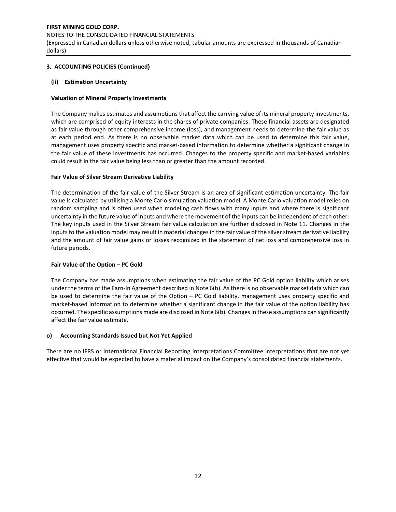## NOTES TO THE CONSOLIDATED FINANCIAL STATEMENTS

(Expressed in Canadian dollars unless otherwise noted, tabular amounts are expressed in thousands of Canadian dollars)

# **3. ACCOUNTING POLICIES (Continued)**

# **(ii) Estimation Uncertainty**

# **Valuation of Mineral Property Investments**

The Company makes estimates and assumptions that affect the carrying value of its mineral property investments, which are comprised of equity interests in the shares of private companies. These financial assets are designated as fair value through other comprehensive income (loss), and management needs to determine the fair value as at each period end. As there is no observable market data which can be used to determine this fair value, management uses property specific and market-based information to determine whether a significant change in the fair value of these investments has occurred. Changes to the property specific and market-based variables could result in the fair value being less than or greater than the amount recorded.

## **Fair Value of Silver Stream Derivative Liability**

The determination of the fair value of the Silver Stream is an area of significant estimation uncertainty. The fair value is calculated by utilising a Monte Carlo simulation valuation model. A Monte Carlo valuation model relies on random sampling and is often used when modeling cash flows with many inputs and where there is significant uncertainty in the future value of inputs and where the movement of the inputs can be independent of each other. The key inputs used in the Silver Stream fair value calculation are further disclosed in Note 11. Changes in the inputs to the valuation model may result in material changes in the fair value of the silver stream derivative liability and the amount of fair value gains or losses recognized in the statement of net loss and comprehensive loss in future periods.

# **Fair Value of the Option – PC Gold**

The Company has made assumptions when estimating the fair value of the PC Gold option liability which arises under the terms of the Earn-In Agreement described in Note 6(b). As there is no observable market data which can be used to determine the fair value of the Option – PC Gold liability, management uses property specific and market-based information to determine whether a significant change in the fair value of the option liability has occurred. The specific assumptions made are disclosed in Note 6(b). Changes in these assumptions can significantly affect the fair value estimate.

# **o) Accounting Standards Issued but Not Yet Applied**

There are no IFRS or International Financial Reporting Interpretations Committee interpretations that are not yet effective that would be expected to have a material impact on the Company's consolidated financial statements.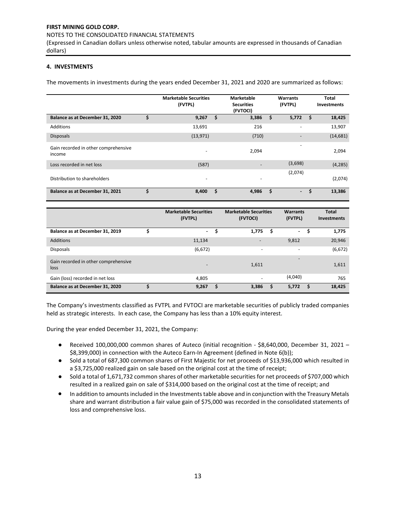#### NOTES TO THE CONSOLIDATED FINANCIAL STATEMENTS

(Expressed in Canadian dollars unless otherwise noted, tabular amounts are expressed in thousands of Canadian dollars)

# **4. INVESTMENTS**

The movements in investments during the years ended December 31, 2021 and 2020 are summarized as follows:

|                                                | <b>Marketable Securities</b><br>(FVTPL) | <b>Marketable</b><br><b>Securities</b><br>(FVTOCI) | Warrants<br>(FVTPL)      |                          | Total<br><b>Investments</b> |           |
|------------------------------------------------|-----------------------------------------|----------------------------------------------------|--------------------------|--------------------------|-----------------------------|-----------|
| Balance as at December 31, 2020                | \$<br>9,267                             | Ŝ.                                                 | 3,386                    | \$<br>5,772              | - \$                        | 18,425    |
| Additions                                      | 13,691                                  |                                                    | 216                      | $\overline{\phantom{a}}$ |                             | 13,907    |
| <b>Disposals</b>                               | (13, 971)                               |                                                    | (710)                    |                          |                             | (14, 681) |
| Gain recorded in other comprehensive<br>income | $\overline{\phantom{a}}$                |                                                    | 2,094                    | $\overline{\phantom{a}}$ |                             | 2,094     |
| Loss recorded in net loss                      | (587)                                   |                                                    |                          | (3,698)                  |                             | (4, 285)  |
| Distribution to shareholders                   | $\overline{\phantom{0}}$                |                                                    | $\overline{\phantom{0}}$ | (2,074)                  |                             | (2,074)   |
| Balance as at December 31, 2021                | \$<br>8,400                             | \$.                                                | 4,986                    | \$<br>$\sim$             | \$                          | 13,386    |

|                                              | <b>Marketable Securities</b><br>(FVTPL) |   | <b>Marketable Securities</b><br>(FVTOCI) |   | <b>Warrants</b><br>(FVTPL) |   | <b>Total</b><br>Investments |
|----------------------------------------------|-----------------------------------------|---|------------------------------------------|---|----------------------------|---|-----------------------------|
| Balance as at December 31, 2019              | $\overline{\phantom{0}}$                | S | 1,775                                    |   | $\sim$                     | S | 1,775                       |
| Additions                                    | 11,134                                  |   | $\overline{\phantom{a}}$                 |   | 9,812                      |   | 20,946                      |
| <b>Disposals</b>                             | (6, 672)                                |   | $\overline{\phantom{a}}$                 |   | $\overline{\phantom{a}}$   |   | (6, 672)                    |
| Gain recorded in other comprehensive<br>loss | $\overline{\phantom{0}}$                |   | 1,611                                    |   | $\overline{\phantom{a}}$   |   | 1,611                       |
| Gain (loss) recorded in net loss             | 4,805                                   |   |                                          |   | (4,040)                    |   | 765                         |
| Balance as at December 31, 2020              | 9,267                                   | S | 3,386                                    | s | 5,772                      | S | 18,425                      |

The Company's investments classified as FVTPL and FVTOCI are marketable securities of publicly traded companies held as strategic interests. In each case, the Company has less than a 10% equity interest.

During the year ended December 31, 2021, the Company:

- Received 100,000,000 common shares of Auteco (initial recognition \$8,640,000, December 31, 2021 -\$8,399,000) in connection with the Auteco Earn-In Agreement (defined in Note 6(b));
- Sold a total of 687,300 common shares of First Majestic for net proceeds of \$13,936,000 which resulted in a \$3,725,000 realized gain on sale based on the original cost at the time of receipt;
- Sold a total of 1,671,732 common shares of other marketable securities for net proceeds of \$707,000 which resulted in a realized gain on sale of \$314,000 based on the original cost at the time of receipt; and
- In addition to amounts included in the Investments table above and in conjunction with the Treasury Metals share and warrant distribution a fair value gain of \$75,000 was recorded in the consolidated statements of loss and comprehensive loss.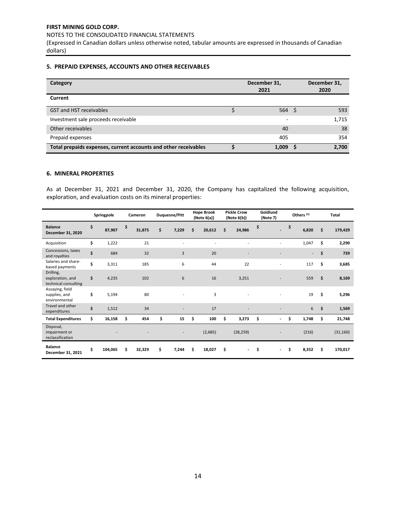NOTES TO THE CONSOLIDATED FINANCIAL STATEMENTS

(Expressed in Canadian dollars unless otherwise noted, tabular amounts are expressed in thousands of Canadian dollars)

# **5. PREPAID EXPENSES, ACCOUNTS AND OTHER RECEIVABLES**

| Category                                                        | December 31,<br>2021     |     | December 31,<br>2020 |
|-----------------------------------------------------------------|--------------------------|-----|----------------------|
| Current                                                         |                          |     |                      |
| <b>GST and HST receivables</b>                                  | 564                      | ∖ S | 593                  |
| Investment sale proceeds receivable                             | $\overline{\phantom{0}}$ |     | 1,715                |
| Other receivables                                               | 40                       |     | 38                   |
| Prepaid expenses                                                | 405                      |     | 354                  |
| Total prepaids expenses, current accounts and other receivables | 1,009                    |     | 2,700                |

## **6. MINERAL PROPERTIES**

As at December 31, 2021 and December 31, 2020, the Company has capitalized the following acquisition, exploration, and evaluation costs on its mineral properties:

|                                                       | Springpole    | Cameron      | <b>Duquesne/Pitt</b> | <b>Hope Brook</b><br>(Note 6(a)) |    | <b>Pickle Crow</b><br>(Note 6(b)) | Goldlund<br>(Note 7)           | Others <sup>(1)</sup> |                          | <b>Total</b> |           |
|-------------------------------------------------------|---------------|--------------|----------------------|----------------------------------|----|-----------------------------------|--------------------------------|-----------------------|--------------------------|--------------|-----------|
| <b>Balance</b><br>December 31, 2020                   | \$<br>87,907  | \$<br>31,875 | \$<br>7,229          | \$<br>20,612                     | Ś. | 24,986                            | \$                             | \$                    | 6,820                    | \$           | 179,429   |
| Acquisition                                           | \$<br>1,222   | 21           |                      |                                  |    |                                   |                                |                       | 1,047                    | \$           | 2,290     |
| Concessions, taxes<br>and royalties                   | \$<br>684     | 32           | 3                    | 20                               |    |                                   |                                |                       | $\overline{\phantom{a}}$ | \$           | 739       |
| Salaries and share-<br>based payments                 | \$<br>3,311   | 185          | 6                    | 44                               |    | 22                                |                                |                       | 117                      | \$           | 3,685     |
| Drilling,<br>exploration, and<br>technical consulting | \$<br>4,235   | 102          | 6                    | 16                               |    | 3,251                             |                                |                       | 559                      | \$           | 8,169     |
| Assaying, field<br>supplies, and<br>environmental     | \$<br>5,194   | 80           |                      | 3                                |    |                                   |                                |                       | 19                       | \$           | 5,296     |
| Travel and other<br>expenditures                      | \$<br>1,512   | 34           |                      | 17                               |    |                                   |                                |                       | 6                        | \$           | 1,569     |
| <b>Total Expenditures</b>                             | \$<br>16,158  | \$<br>454    | \$<br>15             | \$<br>100                        | \$ | 3,273                             | \$<br>$\blacksquare$           | \$                    | 1,748                    | \$           | 21,748    |
| Disposal,<br>impairment or<br>reclassification        |               |              |                      | (2,685)                          |    | (28, 259)                         |                                |                       | (216)                    |              | (31, 160) |
| <b>Balance</b><br>December 31, 2021                   | \$<br>104,065 | \$<br>32,329 | \$<br>7,244          | \$<br>18,027                     | \$ | $\overline{\phantom{a}}$          | \$<br>$\overline{\phantom{a}}$ | \$                    | 8,352                    | \$.          | 170,017   |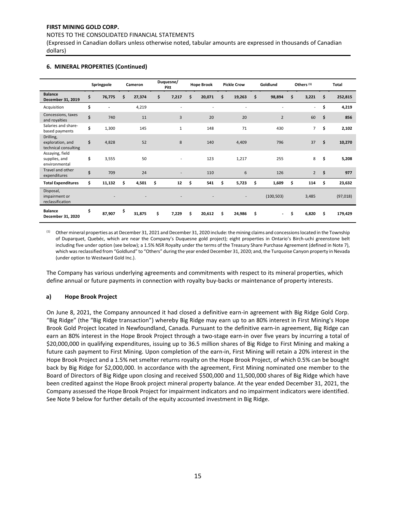NOTES TO THE CONSOLIDATED FINANCIAL STATEMENTS

(Expressed in Canadian dollars unless otherwise noted, tabular amounts are expressed in thousands of Canadian dollars)

|                                                       | Springpole           | Cameron      | Duquesne/<br>Pitt | <b>Hope Brook</b> | <b>Pickle Crow</b> | Goldlund                       | Others <sup>(1)</sup>    | Total         |
|-------------------------------------------------------|----------------------|--------------|-------------------|-------------------|--------------------|--------------------------------|--------------------------|---------------|
| <b>Balance</b><br>December 31, 2019                   | \$<br>76,775         | \$<br>27,374 | \$<br>7,217       | \$<br>20,071      | \$<br>19,263       | \$<br>98,894                   | \$<br>3,221              | \$<br>252,815 |
| Acquisition                                           | \$<br>$\overline{a}$ | 4,219        |                   |                   |                    |                                | $\overline{\phantom{a}}$ | \$<br>4,219   |
| Concessions, taxes<br>and royalties                   | \$<br>740            | 11           | 3                 | 20                | 20                 | $\overline{2}$                 | 60                       | \$<br>856     |
| Salaries and share-<br>based payments                 | \$<br>1,300          | 145          | $\mathbf{1}$      | 148               | 71                 | 430                            | $\overline{7}$           | \$<br>2,102   |
| Drilling,<br>exploration, and<br>technical consulting | \$<br>4,828          | 52           | 8                 | 140               | 4,409              | 796                            | 37                       | \$<br>10,270  |
| Assaying, field<br>supplies, and<br>environmental     | \$<br>3,555          | 50           |                   | 123               | 1,217              | 255                            | 8                        | \$<br>5,208   |
| Travel and other<br>expenditures                      | \$<br>709            | 24           |                   | 110               | 6                  | 126                            | $\overline{2}$           | \$<br>977     |
| <b>Total Expenditures</b>                             | \$<br>11,132         | \$<br>4,501  | \$<br>12          | \$<br>541         | \$<br>5,723        | \$<br>1,609                    | \$<br>114                | \$<br>23,632  |
| Disposal,<br>impairment or<br>reclassification        |                      |              |                   |                   |                    | (100, 503)                     | 3,485                    | (97, 018)     |
| <b>Balance</b><br>December 31, 2020                   | \$<br>87,907         | \$<br>31,875 | \$<br>7,229       | \$<br>20,612      | \$<br>24,986       | \$<br>$\overline{\phantom{a}}$ | \$<br>6,820              | \$<br>179,429 |

## **6. MINERAL PROPERTIES (Continued)**

(1) Other mineral properties as at December 31, 2021 and December 31, 2020 include: the mining claims and concessions located in the Township of Duparquet, Quebéc, which are near the Company's Duquesne gold project); eight properties in Ontario's Birch-uchi greenstone belt including five under option (see below); a 1.5% NSR Royalty under the terms of the Treasury Share Purchase Agreement (defined in Note 7), which was reclassified from "Goldlund" to "Others" during the year ended December 31, 2020; and, the Turquoise Canyon property in Nevada (under option to Westward Gold Inc.).

The Company has various underlying agreements and commitments with respect to its mineral properties, which define annual or future payments in connection with royalty buy-backs or maintenance of property interests.

# **a) Hope Brook Project**

On June 8, 2021, the Company announced it had closed a definitive earn-in agreement with Big Ridge Gold Corp. "Big Ridge" (the "Big Ridge transaction") whereby Big Ridge may earn up to an 80% interest in First Mining's Hope Brook Gold Project located in Newfoundland, Canada. Pursuant to the definitive earn-in agreement, Big Ridge can earn an 80% interest in the Hope Brook Project through a two-stage earn-in over five years by incurring a total of \$20,000,000 in qualifying expenditures, issuing up to 36.5 million shares of Big Ridge to First Mining and making a future cash payment to First Mining. Upon completion of the earn-in, First Mining will retain a 20% interest in the Hope Brook Project and a 1.5% net smelter returns royalty on the Hope Brook Project, of which 0.5% can be bought back by Big Ridge for \$2,000,000. In accordance with the agreement, First Mining nominated one member to the Board of Directors of Big Ridge upon closing and received \$500,000 and 11,500,000 shares of Big Ridge which have been credited against the Hope Brook project mineral property balance. At the year ended December 31, 2021, the Company assessed the Hope Brook Project for impairment indicators and no impairment indicators were identified. See Note 9 below for further details of the equity accounted investment in Big Ridge.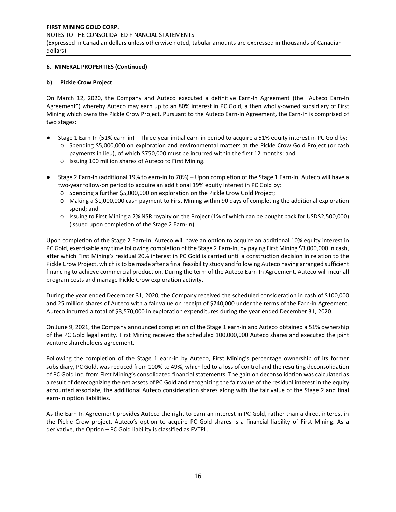## NOTES TO THE CONSOLIDATED FINANCIAL STATEMENTS

(Expressed in Canadian dollars unless otherwise noted, tabular amounts are expressed in thousands of Canadian dollars)

# **6. MINERAL PROPERTIES (Continued)**

## **b) Pickle Crow Project**

On March 12, 2020, the Company and Auteco executed a definitive Earn-In Agreement (the "Auteco Earn-In Agreement") whereby Auteco may earn up to an 80% interest in PC Gold, a then wholly-owned subsidiary of First Mining which owns the Pickle Crow Project. Pursuant to the Auteco Earn-In Agreement, the Earn-In is comprised of two stages:

- Stage 1 Earn-In (51% earn-in) Three-year initial earn-in period to acquire a 51% equity interest in PC Gold by: o Spending \$5,000,000 on exploration and environmental matters at the Pickle Crow Gold Project (or cash payments in lieu), of which \$750,000 must be incurred within the first 12 months; and
	- o Issuing 100 million shares of Auteco to First Mining.
- Stage 2 Earn-In (additional 19% to earn-in to 70%) Upon completion of the Stage 1 Earn-In, Auteco will have a two-year follow-on period to acquire an additional 19% equity interest in PC Gold by:
	- o Spending a further \$5,000,000 on exploration on the Pickle Crow Gold Project;
	- o Making a \$1,000,000 cash payment to First Mining within 90 days of completing the additional exploration spend; and
	- o Issuing to First Mining a 2% NSR royalty on the Project (1% of which can be bought back for USD\$2,500,000) (issued upon completion of the Stage 2 Earn-In).

Upon completion of the Stage 2 Earn-In, Auteco will have an option to acquire an additional 10% equity interest in PC Gold, exercisable any time following completion of the Stage 2 Earn-In, by paying First Mining \$3,000,000 in cash, after which First Mining's residual 20% interest in PC Gold is carried until a construction decision in relation to the Pickle Crow Project, which is to be made after a final feasibility study and following Auteco having arranged sufficient financing to achieve commercial production. During the term of the Auteco Earn-In Agreement, Auteco will incur all program costs and manage Pickle Crow exploration activity.

During the year ended December 31, 2020, the Company received the scheduled consideration in cash of \$100,000 and 25 million shares of Auteco with a fair value on receipt of \$740,000 under the terms of the Earn-in Agreement. Auteco incurred a total of \$3,570,000 in exploration expenditures during the year ended December 31, 2020.

On June 9, 2021, the Company announced completion of the Stage 1 earn-in and Auteco obtained a 51% ownership of the PC Gold legal entity. First Mining received the scheduled 100,000,000 Auteco shares and executed the joint venture shareholders agreement.

Following the completion of the Stage 1 earn-in by Auteco, First Mining's percentage ownership of its former subsidiary, PC Gold, was reduced from 100% to 49%, which led to a loss of control and the resulting deconsolidation of PC Gold Inc. from First Mining's consolidated financial statements. The gain on deconsolidation was calculated as a result of derecognizing the net assets of PC Gold and recognizing the fair value of the residual interest in the equity accounted associate, the additional Auteco consideration shares along with the fair value of the Stage 2 and final earn-in option liabilities.

As the Earn-In Agreement provides Auteco the right to earn an interest in PC Gold, rather than a direct interest in the Pickle Crow project, Auteco's option to acquire PC Gold shares is a financial liability of First Mining. As a derivative, the Option – PC Gold liability is classified as FVTPL.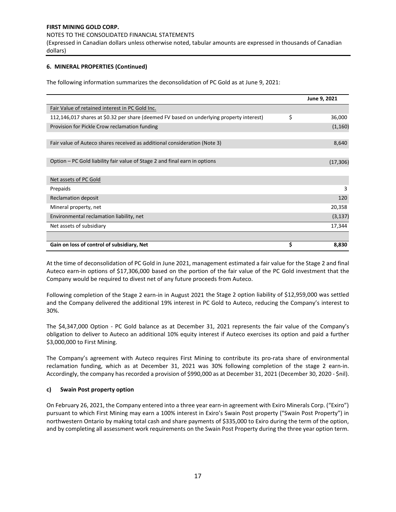#### NOTES TO THE CONSOLIDATED FINANCIAL STATEMENTS

(Expressed in Canadian dollars unless otherwise noted, tabular amounts are expressed in thousands of Canadian dollars)

# **6. MINERAL PROPERTIES (Continued)**

The following information summarizes the deconsolidation of PC Gold as at June 9, 2021:

|                                                                                          | June 9, 2021 |
|------------------------------------------------------------------------------------------|--------------|
| Fair Value of retained interest in PC Gold Inc.                                          |              |
| 112,146,017 shares at \$0.32 per share (deemed FV based on underlying property interest) | \$<br>36,000 |
| Provision for Pickle Crow reclamation funding                                            | (1, 160)     |
|                                                                                          |              |
| Fair value of Auteco shares received as additional consideration (Note 3)                | 8,640        |
|                                                                                          |              |
| Option – PC Gold liability fair value of Stage 2 and final earn in options               | (17, 306)    |
|                                                                                          |              |
| Net assets of PC Gold                                                                    |              |
| Prepaids                                                                                 | 3            |
| <b>Reclamation deposit</b>                                                               | 120          |
| Mineral property, net                                                                    | 20,358       |
| Environmental reclamation liability, net                                                 | (3, 137)     |
| Net assets of subsidiary                                                                 | 17,344       |
|                                                                                          |              |
| Gain on loss of control of subsidiary, Net                                               | \$<br>8,830  |

At the time of deconsolidation of PC Gold in June 2021, management estimated a fair value for the Stage 2 and final Auteco earn-in options of \$17,306,000 based on the portion of the fair value of the PC Gold investment that the Company would be required to divest net of any future proceeds from Auteco.

Following completion of the Stage 2 earn-in in August 2021 the Stage 2 option liability of \$12,959,000 was settled and the Company delivered the additional 19% interest in PC Gold to Auteco, reducing the Company's interest to 30%.

The \$4,347,000 Option - PC Gold balance as at December 31, 2021 represents the fair value of the Company's obligation to deliver to Auteco an additional 10% equity interest if Auteco exercises its option and paid a further \$3,000,000 to First Mining.

The Company's agreement with Auteco requires First Mining to contribute its pro-rata share of environmental reclamation funding, which as at December 31, 2021 was 30% following completion of the stage 2 earn-in. Accordingly, the company has recorded a provision of \$990,000 as at December 31, 2021 (December 30, 2020 - \$nil).

# **c) Swain Post property option**

On February 26, 2021, the Company entered into a three year earn-in agreement with Exiro Minerals Corp. ("Exiro") pursuant to which First Mining may earn a 100% interest in Exiro's Swain Post property ("Swain Post Property") in northwestern Ontario by making total cash and share payments of \$335,000 to Exiro during the term of the option, and by completing all assessment work requirements on the Swain Post Property during the three year option term.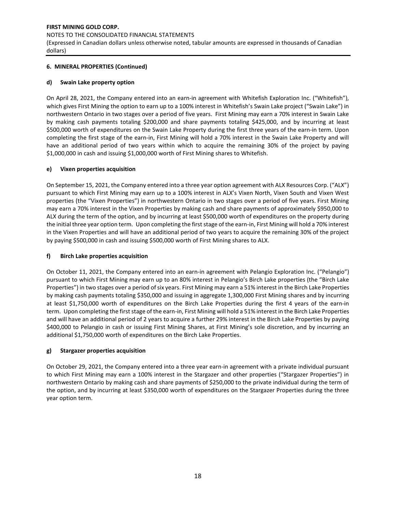# NOTES TO THE CONSOLIDATED FINANCIAL STATEMENTS

(Expressed in Canadian dollars unless otherwise noted, tabular amounts are expressed in thousands of Canadian dollars)

# **6. MINERAL PROPERTIES (Continued)**

# **d) Swain Lake property option**

On April 28, 2021, the Company entered into an earn-in agreement with Whitefish Exploration Inc. ("Whitefish"), which gives First Mining the option to earn up to a 100% interest in Whitefish's Swain Lake project ("Swain Lake") in northwestern Ontario in two stages over a period of five years. First Mining may earn a 70% interest in Swain Lake by making cash payments totaling \$200,000 and share payments totaling \$425,000, and by incurring at least \$500,000 worth of expenditures on the Swain Lake Property during the first three years of the earn-in term. Upon completing the first stage of the earn-in, First Mining will hold a 70% interest in the Swain Lake Property and will have an additional period of two years within which to acquire the remaining 30% of the project by paying \$1,000,000 in cash and issuing \$1,000,000 worth of First Mining shares to Whitefish.

# **e) Vixen properties acquisition**

On September 15, 2021, the Company entered into a three year option agreement with ALX Resources Corp. ("ALX") pursuant to which First Mining may earn up to a 100% interest in ALX's Vixen North, Vixen South and Vixen West properties (the "Vixen Properties") in northwestern Ontario in two stages over a period of five years. First Mining may earn a 70% interest in the Vixen Properties by making cash and share payments of approximately \$950,000 to ALX during the term of the option, and by incurring at least \$500,000 worth of expenditures on the property during the initial three year option term. Upon completing the first stage of the earn-in, First Mining will hold a 70% interest in the Vixen Properties and will have an additional period of two years to acquire the remaining 30% of the project by paying \$500,000 in cash and issuing \$500,000 worth of First Mining shares to ALX.

# **f) Birch Lake properties acquisition**

On October 11, 2021, the Company entered into an earn-in agreement with Pelangio Exploration Inc. ("Pelangio") pursuant to which First Mining may earn up to an 80% interest in Pelangio's Birch Lake properties (the "Birch Lake Properties") in two stages over a period of six years. First Mining may earn a 51% interest in the Birch Lake Properties by making cash payments totaling \$350,000 and issuing in aggregate 1,300,000 First Mining shares and by incurring at least \$1,750,000 worth of expenditures on the Birch Lake Properties during the first 4 years of the earn-in term. Upon completing the first stage of the earn-in, First Mining will hold a 51% interest in the Birch Lake Properties and will have an additional period of 2 years to acquire a further 29% interest in the Birch Lake Properties by paying \$400,000 to Pelangio in cash or issuing First Mining Shares, at First Mining's sole discretion, and by incurring an additional \$1,750,000 worth of expenditures on the Birch Lake Properties.

# **g) Stargazer properties acquisition**

On October 29, 2021, the Company entered into a three year earn-in agreement with a private individual pursuant to which First Mining may earn a 100% interest in the Stargazer and other properties ("Stargazer Properties") in northwestern Ontario by making cash and share payments of \$250,000 to the private individual during the term of the option, and by incurring at least \$350,000 worth of expenditures on the Stargazer Properties during the three year option term.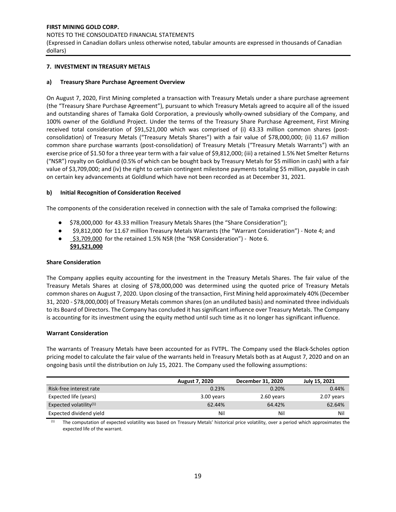#### NOTES TO THE CONSOLIDATED FINANCIAL STATEMENTS

(Expressed in Canadian dollars unless otherwise noted, tabular amounts are expressed in thousands of Canadian dollars)

# **7. INVESTMENT IN TREASURY METALS**

# **a) Treasury Share Purchase Agreement Overview**

On August 7, 2020, First Mining completed a transaction with Treasury Metals under a share purchase agreement (the "Treasury Share Purchase Agreement"), pursuant to which Treasury Metals agreed to acquire all of the issued and outstanding shares of Tamaka Gold Corporation, a previously wholly-owned subsidiary of the Company, and 100% owner of the Goldlund Project. Under the terms of the Treasury Share Purchase Agreement, First Mining received total consideration of \$91,521,000 which was comprised of (i) 43.33 million common shares (postconsolidation) of Treasury Metals ("Treasury Metals Shares") with a fair value of \$78,000,000; (ii) 11.67 million common share purchase warrants (post-consolidation) of Treasury Metals ("Treasury Metals Warrants") with an exercise price of \$1.50 for a three year term with a fair value of \$9,812,000; (iii) a retained 1.5% Net Smelter Returns ("NSR") royalty on Goldlund (0.5% of which can be bought back by Treasury Metals for \$5 million in cash) with a fair value of \$3,709,000; and (iv) the right to certain contingent milestone payments totaling \$5 million, payable in cash on certain key advancements at Goldlund which have not been recorded as at December 31, 2021.

## **b) Initial Recognition of Consideration Received**

The components of the consideration received in connection with the sale of Tamaka comprised the following:

- \$78,000,000 for 43.33 million Treasury Metals Shares (the "Share Consideration");
- \$9,812,000 for 11.67 million Treasury Metals Warrants (the "Warrant Consideration") Note 4; and
- \$3,709,000 for the retained 1.5% NSR (the "NSR Consideration") Note 6.  **\$91,521,000**

# **Share Consideration**

The Company applies equity accounting for the investment in the Treasury Metals Shares. The fair value of the Treasury Metals Shares at closing of \$78,000,000 was determined using the quoted price of Treasury Metals common shares on August 7, 2020. Upon closing of the transaction, First Mining held approximately 40% (December 31, 2020 - \$78,000,000) of Treasury Metals common shares (on an undiluted basis) and nominated three individuals to its Board of Directors. The Company has concluded it has significant influence over Treasury Metals. The Company is accounting for its investment using the equity method until such time as it no longer has significant influence.

#### **Warrant Consideration**

The warrants of Treasury Metals have been accounted for as FVTPL. The Company used the Black-Scholes option pricing model to calculate the fair value of the warrants held in Treasury Metals both as at August 7, 2020 and on an ongoing basis until the distribution on July 15, 2021. The Company used the following assumptions:

|                           | <b>August 7, 2020</b> | December 31, 2020 | July 15, 2021 |
|---------------------------|-----------------------|-------------------|---------------|
| Risk-free interest rate   | 0.23%                 | 0.20%             | 0.44%         |
| Expected life (years)     | 3.00 years            | 2.60 years        | 2.07 years    |
| Expected volatility $(1)$ | 62.44%                | 64.42%            | 62.64%        |
| Expected dividend yield   | Nil                   | Nil               | Nil           |

The computation of expected volatility was based on Treasury Metals' historical price volatility, over a period which approximates the expected life of the warrant.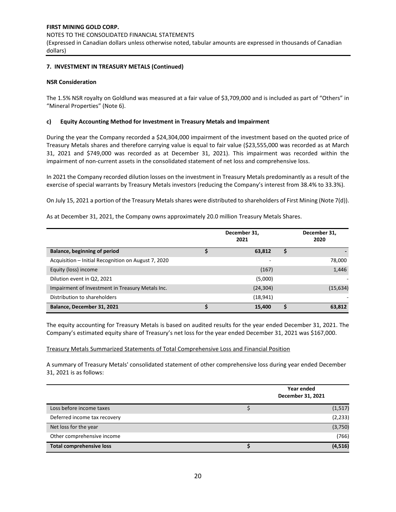# **7. INVESTMENT IN TREASURY METALS (Continued)**

## **NSR Consideration**

The 1.5% NSR royalty on Goldlund was measured at a fair value of \$3,709,000 and is included as part of "Others" in "Mineral Properties" (Note 6).

## **c) Equity Accounting Method for Investment in Treasury Metals and Impairment**

During the year the Company recorded a \$24,304,000 impairment of the investment based on the quoted price of Treasury Metals shares and therefore carrying value is equal to fair value (\$23,555,000 was recorded as at March 31, 2021 and \$749,000 was recorded as at December 31, 2021). This impairment was recorded within the impairment of non-current assets in the consolidated statement of net loss and comprehensive loss.

In 2021 the Company recorded dilution losses on the investment in Treasury Metals predominantly as a result of the exercise of special warrants by Treasury Metals investors (reducing the Company's interest from 38.4% to 33.3%).

On July 15, 2021 a portion of the Treasury Metals shares were distributed to shareholders of First Mining (Note 7(d)).

As at December 31, 2021, the Company owns approximately 20.0 million Treasury Metals Shares.

|                                                     | December 31,<br>2021 |   | December 31,<br>2020 |
|-----------------------------------------------------|----------------------|---|----------------------|
| Balance, beginning of period                        | 63,812               | S |                      |
| Acquisition - Initial Recognition on August 7, 2020 |                      |   | 78,000               |
| Equity (loss) income                                | (167)                |   | 1,446                |
| Dilution event in Q2, 2021                          | (5,000)              |   |                      |
| Impairment of Investment in Treasury Metals Inc.    | (24, 304)            |   | (15, 634)            |
| Distribution to shareholders                        | (18, 941)            |   |                      |
| Balance, December 31, 2021                          | 15,400               |   | 63,812               |

The equity accounting for Treasury Metals is based on audited results for the year ended December 31, 2021. The Company's estimated equity share of Treasury's net loss for the year ended December 31, 2021 was \$167,000.

#### Treasury Metals Summarized Statements of Total Comprehensive Loss and Financial Position

A summary of Treasury Metals' consolidated statement of other comprehensive loss during year ended December 31, 2021 is as follows:

|                                 | Year ended<br>December 31, 2021 |          |
|---------------------------------|---------------------------------|----------|
| Loss before income taxes        |                                 | (1, 517) |
| Deferred income tax recovery    |                                 | (2, 233) |
| Net loss for the year           |                                 | (3,750)  |
| Other comprehensive income      |                                 | (766)    |
| <b>Total comprehensive loss</b> |                                 | (4, 516) |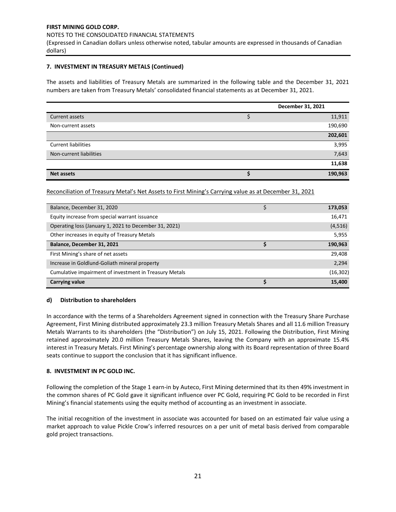NOTES TO THE CONSOLIDATED FINANCIAL STATEMENTS

(Expressed in Canadian dollars unless otherwise noted, tabular amounts are expressed in thousands of Canadian dollars)

# **7. INVESTMENT IN TREASURY METALS (Continued)**

The assets and liabilities of Treasury Metals are summarized in the following table and the December 31, 2021 numbers are taken from Treasury Metals' consolidated financial statements as at December 31, 2021.

|                            | December 31, 2021 |         |
|----------------------------|-------------------|---------|
| Current assets             |                   | 11,911  |
| Non-current assets         |                   | 190,690 |
|                            |                   | 202,601 |
| <b>Current liabilities</b> |                   | 3,995   |
| Non-current liabilities    |                   | 7,643   |
|                            |                   | 11,638  |
| <b>Net assets</b>          |                   | 190,963 |

Reconciliation of Treasury Metal's Net Assets to First Mining's Carrying value as at December 31, 2021

| Balance, December 31, 2020                             | 173,053   |
|--------------------------------------------------------|-----------|
| Equity increase from special warrant issuance          | 16,471    |
| Operating loss (January 1, 2021 to December 31, 2021)  | (4, 516)  |
| Other increases in equity of Treasury Metals           | 5,955     |
| Balance, December 31, 2021                             | 190,963   |
| First Mining's share of net assets                     | 29,408    |
| Increase in Goldlund-Goliath mineral property          | 2,294     |
| Cumulative impairment of investment in Treasury Metals | (16, 302) |
| Carrying value                                         | 15,400    |

# **d) Distribution to shareholders**

In accordance with the terms of a Shareholders Agreement signed in connection with the Treasury Share Purchase Agreement, First Mining distributed approximately 23.3 million Treasury Metals Shares and all 11.6 million Treasury Metals Warrants to its shareholders (the "Distribution") on July 15, 2021. Following the Distribution, First Mining retained approximately 20.0 million Treasury Metals Shares, leaving the Company with an approximate 15.4% interest in Treasury Metals. First Mining's percentage ownership along with its Board representation of three Board seats continue to support the conclusion that it has significant influence.

## **8. INVESTMENT IN PC GOLD INC.**

Following the completion of the Stage 1 earn-in by Auteco, First Mining determined that its then 49% investment in the common shares of PC Gold gave it significant influence over PC Gold, requiring PC Gold to be recorded in First Mining's financial statements using the equity method of accounting as an investment in associate.

The initial recognition of the investment in associate was accounted for based on an estimated fair value using a market approach to value Pickle Crow's inferred resources on a per unit of metal basis derived from comparable gold project transactions.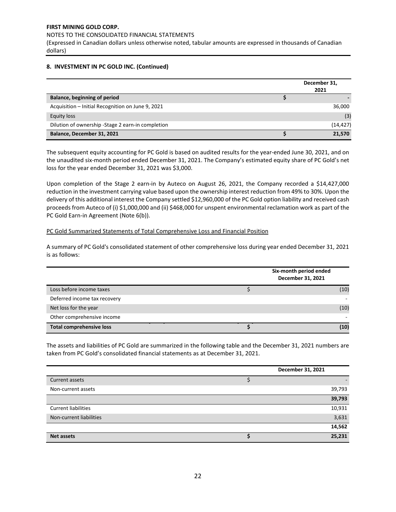(Expressed in Canadian dollars unless otherwise noted, tabular amounts are expressed in thousands of Canadian dollars)

# **8. INVESTMENT IN PC GOLD INC. (Continued)**

|                                                    | December 31,<br>2021 |
|----------------------------------------------------|----------------------|
| Balance, beginning of period                       |                      |
| Acquisition - Initial Recognition on June 9, 2021  | 36,000               |
| Equity loss                                        | (3)                  |
| Dilution of ownership - Stage 2 earn-in completion | (14, 427)            |
| Balance, December 31, 2021                         | 21.570               |

The subsequent equity accounting for PC Gold is based on audited results for the year-ended June 30, 2021, and on the unaudited six-month period ended December 31, 2021. The Company's estimated equity share of PC Gold's net loss for the year ended December 31, 2021 was \$3,000.

Upon completion of the Stage 2 earn-in by Auteco on August 26, 2021, the Company recorded a \$14,427,000 reduction in the investment carrying value based upon the ownership interest reduction from 49% to 30%. Upon the delivery of this additional interest the Company settled \$12,960,000 of the PC Gold option liability and received cash proceeds from Auteco of (i) \$1,000,000 and (ii) \$468,000 for unspent environmental reclamation work as part of the PC Gold Earn-in Agreement (Note 6(b)).

# PC Gold Summarized Statements of Total Comprehensive Loss and Financial Position

A summary of PC Gold's consolidated statement of other comprehensive loss during year ended December 31, 2021 is as follows:

|                                 | Six-month period ended<br>December 31, 2021 |  |  |
|---------------------------------|---------------------------------------------|--|--|
| Loss before income taxes        | (10)                                        |  |  |
| Deferred income tax recovery    |                                             |  |  |
| Net loss for the year           | (10)                                        |  |  |
| Other comprehensive income      |                                             |  |  |
| <b>Total comprehensive loss</b> | (10)                                        |  |  |

The assets and liabilities of PC Gold are summarized in the following table and the December 31, 2021 numbers are taken from PC Gold's consolidated financial statements as at December 31, 2021.

|                            | December 31, 2021 |
|----------------------------|-------------------|
| Current assets             |                   |
| Non-current assets         | 39,793            |
|                            | 39,793            |
| <b>Current liabilities</b> | 10,931            |
| Non-current liabilities    | 3,631             |
|                            | 14,562            |
| <b>Net assets</b>          | 25,231            |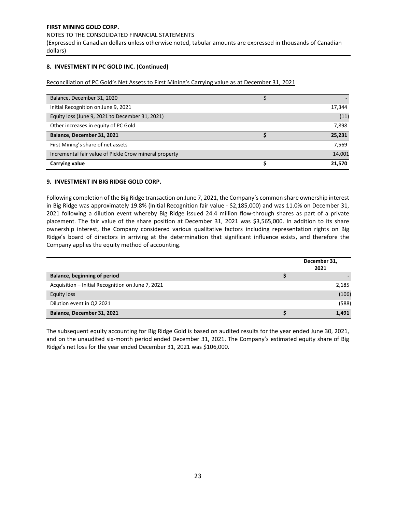#### NOTES TO THE CONSOLIDATED FINANCIAL STATEMENTS

(Expressed in Canadian dollars unless otherwise noted, tabular amounts are expressed in thousands of Canadian dollars)

# **8. INVESTMENT IN PC GOLD INC. (Continued)**

Reconciliation of PC Gold's Net Assets to First Mining's Carrying value as at December 31, 2021

| Balance, December 31, 2020                             |        |
|--------------------------------------------------------|--------|
| Initial Recognition on June 9, 2021                    | 17,344 |
|                                                        |        |
| Equity loss (June 9, 2021 to December 31, 2021)        | (11)   |
| Other increases in equity of PC Gold                   | 7,898  |
| Balance, December 31, 2021                             | 25,231 |
| First Mining's share of net assets                     | 7,569  |
| Incremental fair value of Pickle Crow mineral property | 14,001 |
| Carrying value                                         | 21,570 |

# **9. INVESTMENT IN BIG RIDGE GOLD CORP.**

Following completion of the Big Ridge transaction on June 7, 2021, the Company's common share ownership interest in Big Ridge was approximately 19.8% (Initial Recognition fair value - \$2,185,000) and was 11.0% on December 31, 2021 following a dilution event whereby Big Ridge issued 24.4 million flow-through shares as part of a private placement. The fair value of the share position at December 31, 2021 was \$3,565,000. In addition to its share ownership interest, the Company considered various qualitative factors including representation rights on Big Ridge's board of directors in arriving at the determination that significant influence exists, and therefore the Company applies the equity method of accounting.

|                                                   | December 31,<br>2021 |
|---------------------------------------------------|----------------------|
| Balance, beginning of period                      |                      |
| Acquisition - Initial Recognition on June 7, 2021 | 2,185                |
| Equity loss                                       | (106)                |
| Dilution event in Q2 2021                         | (588)                |
| Balance, December 31, 2021                        | 1,491                |

The subsequent equity accounting for Big Ridge Gold is based on audited results for the year ended June 30, 2021, and on the unaudited six-month period ended December 31, 2021. The Company's estimated equity share of Big Ridge's net loss for the year ended December 31, 2021 was \$106,000.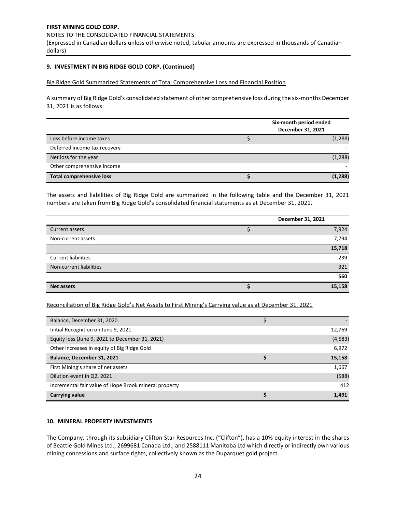NOTES TO THE CONSOLIDATED FINANCIAL STATEMENTS

(Expressed in Canadian dollars unless otherwise noted, tabular amounts are expressed in thousands of Canadian dollars)

## **9. INVESTMENT IN BIG RIDGE GOLD CORP. (Continued)**

Big Ridge Gold Summarized Statements of Total Comprehensive Loss and Financial Position

A summary of Big Ridge Gold's consolidated statement of other comprehensive loss during the six-months December 31, 2021 is as follows:

|                                 | Six-month period ended<br>December 31, 2021 |  |  |
|---------------------------------|---------------------------------------------|--|--|
| Loss before income taxes        | (1, 288)                                    |  |  |
| Deferred income tax recovery    |                                             |  |  |
| Net loss for the year           | (1, 288)                                    |  |  |
| Other comprehensive income      |                                             |  |  |
| <b>Total comprehensive loss</b> | (1, 288)                                    |  |  |

The assets and liabilities of Big Ridge Gold are summarized in the following table and the December 31, 2021 numbers are taken from Big Ridge Gold's consolidated financial statements as at December 31, 2021.

|                            | December 31, 2021 |
|----------------------------|-------------------|
| Current assets             | 7,924             |
| Non-current assets         | 7,794             |
|                            | 15,718            |
| <b>Current liabilities</b> | 239               |
| Non-current liabilities    | 321               |
|                            | 560               |
| <b>Net assets</b>          | 15,158            |

Reconciliation of Big Ridge Gold's Net Assets to First Mining's Carrying value as at December 31, 2021

| Balance, December 31, 2020                            |          |
|-------------------------------------------------------|----------|
| Initial Recognition on June 9, 2021                   | 12,769   |
| Equity loss (June 9, 2021 to December 31, 2021)       | (4, 583) |
| Other increases in equity of Big Ridge Gold           | 6,972    |
| Balance, December 31, 2021                            | 15,158   |
|                                                       |          |
| First Mining's share of net assets                    | 1,667    |
| Dilution event in Q2, 2021                            | (588)    |
| Incremental fair value of Hope Brook mineral property | 412      |

# **10. MINERAL PROPERTY INVESTMENTS**

The Company, through its subsidiary Clifton Star Resources Inc. ("Clifton"), has a 10% equity interest in the shares of Beattie Gold Mines Ltd., 2699681 Canada Ltd., and 2588111 Manitoba Ltd which directly or indirectly own various mining concessions and surface rights, collectively known as the Duparquet gold project.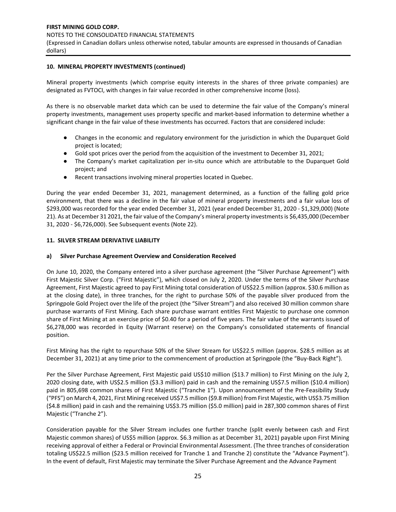dollars)

## **10. MINERAL PROPERTY INVESTMENTS (continued)**

Mineral property investments (which comprise equity interests in the shares of three private companies) are designated as FVTOCI, with changes in fair value recorded in other comprehensive income (loss).

As there is no observable market data which can be used to determine the fair value of the Company's mineral property investments, management uses property specific and market-based information to determine whether a significant change in the fair value of these investments has occurred. Factors that are considered include:

- Changes in the economic and regulatory environment for the jurisdiction in which the Duparquet Gold project is located;
- Gold spot prices over the period from the acquisition of the investment to December 31, 2021;
- The Company's market capitalization per in-situ ounce which are attributable to the Duparquet Gold project; and
- Recent transactions involving mineral properties located in Quebec.

During the year ended December 31, 2021, management determined, as a function of the falling gold price environment, that there was a decline in the fair value of mineral property investments and a fair value loss of \$293,000 was recorded for the year ended December 31, 2021 (year ended December 31, 2020 - \$1,329,000) (Note 21). As at December 31 2021, the fair value of the Company's mineral property investments is \$6,435,000 (December 31, 2020 - \$6,726,000). See Subsequent events (Note 22).

# **11. SILVER STREAM DERIVATIVE LIABILITY**

# **a) Silver Purchase Agreement Overview and Consideration Received**

On June 10, 2020, the Company entered into a silver purchase agreement (the "Silver Purchase Agreement") with First Majestic Silver Corp. ("First Majestic"), which closed on July 2, 2020. Under the terms of the Silver Purchase Agreement, First Majestic agreed to pay First Mining total consideration of US\$22.5 million (approx. \$30.6 million as at the closing date), in three tranches, for the right to purchase 50% of the payable silver produced from the Springpole Gold Project over the life of the project (the "Silver Stream") and also received 30 million common share purchase warrants of First Mining. Each share purchase warrant entitles First Majestic to purchase one common share of First Mining at an exercise price of \$0.40 for a period of five years. The fair value of the warrants issued of \$6,278,000 was recorded in Equity (Warrant reserve) on the Company's consolidated statements of financial position.

First Mining has the right to repurchase 50% of the Silver Stream for US\$22.5 million (approx. \$28.5 million as at December 31, 2021) at any time prior to the commencement of production at Springpole (the "Buy-Back Right").

Per the Silver Purchase Agreement, First Majestic paid US\$10 million (\$13.7 million) to First Mining on the July 2, 2020 closing date, with US\$2.5 million (\$3.3 million) paid in cash and the remaining US\$7.5 million (\$10.4 million) paid in 805,698 common shares of First Majestic ("Tranche 1"). Upon announcement of the Pre-Feasibility Study ("PFS") on March 4, 2021, First Mining received US\$7.5 million (\$9.8 million) from First Majestic, with US\$3.75 million (\$4.8 million) paid in cash and the remaining US\$3.75 million (\$5.0 million) paid in 287,300 common shares of First Majestic ("Tranche 2").

Consideration payable for the Silver Stream includes one further tranche (split evenly between cash and First Majestic common shares) of US\$5 million (approx. \$6.3 million as at December 31, 2021) payable upon First Mining receiving approval of either a Federal or Provincial Environmental Assessment. (The three tranches of consideration totaling US\$22.5 million (\$23.5 million received for Tranche 1 and Tranche 2) constitute the "Advance Payment"). In the event of default, First Majestic may terminate the Silver Purchase Agreement and the Advance Payment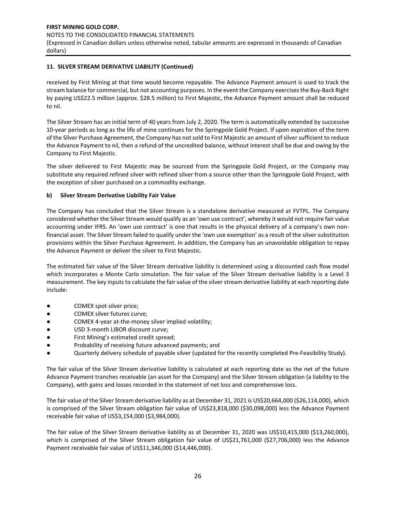# **11. SILVER STREAM DERIVATIVE LIABILITY (Continued)**

received by First Mining at that time would become repayable. The Advance Payment amount is used to track the stream balance for commercial, but not accounting purposes. In the event the Company exercises the Buy-Back Right by paying US\$22.5 million (approx. \$28.5 million) to First Majestic, the Advance Payment amount shall be reduced to nil.

The Silver Stream has an initial term of 40 years from July 2, 2020. The term is automatically extended by successive 10-year periods as long as the life of mine continues for the Springpole Gold Project. If upon expiration of the term of the Silver Purchase Agreement, the Company has not sold to First Majestic an amount of silver sufficient to reduce the Advance Payment to nil, then a refund of the uncredited balance, without interest shall be due and owing by the Company to First Majestic.

The silver delivered to First Majestic may be sourced from the Springpole Gold Project, or the Company may substitute any required refined silver with refined silver from a source other than the Springpole Gold Project, with the exception of silver purchased on a commodity exchange.

## **b) Silver Stream Derivative Liability Fair Value**

The Company has concluded that the Silver Stream is a standalone derivative measured at FVTPL. The Company considered whether the Silver Stream would qualify as an 'own use contract', whereby it would not require fair value accounting under IFRS. An 'own use contract' is one that results in the physical delivery of a company's own nonfinancial asset. The Silver Stream failed to qualify under the 'own use exemption' as a result of the silver substitution provisions within the Silver Purchase Agreement. In addition, the Company has an unavoidable obligation to repay the Advance Payment or deliver the silver to First Majestic.

The estimated fair value of the Silver Stream derivative liability is determined using a discounted cash flow model which incorporates a Monte Carlo simulation. The fair value of the Silver Stream derivative liability is a Level 3 measurement. The key inputs to calculate the fair value of the silver stream derivative liability at each reporting date include:

- COMEX spot silver price;
- COMEX silver futures curve;
- COMEX 4-year at-the-money silver implied volatility;
- USD 3-month LIBOR discount curve;
- First Mining's estimated credit spread;
- Probability of receiving future advanced payments; and
- Quarterly delivery schedule of payable silver (updated for the recently completed Pre-Feasibility Study).

The fair value of the Silver Stream derivative liability is calculated at each reporting date as the net of the future Advance Payment tranches receivable (an asset for the Company) and the Silver Stream obligation (a liability to the Company), with gains and losses recorded in the statement of net loss and comprehensive loss.

The fair value of the Silver Stream derivative liability as at December 31, 2021 is US\$20,664,000 (\$26,114,000), which is comprised of the Silver Stream obligation fair value of US\$23,818,000 (\$30,098,000) less the Advance Payment receivable fair value of US\$3,154,000 (\$3,984,000).

The fair value of the Silver Stream derivative liability as at December 31, 2020 was US\$10,415,000 (\$13,260,000), which is comprised of the Silver Stream obligation fair value of US\$21,761,000 (\$27,706,000) less the Advance Payment receivable fair value of US\$11,346,000 (\$14,446,000).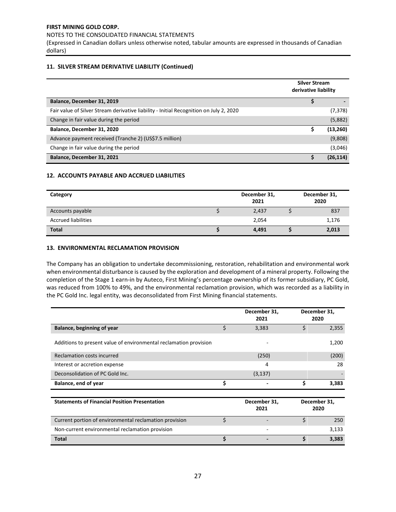NOTES TO THE CONSOLIDATED FINANCIAL STATEMENTS

(Expressed in Canadian dollars unless otherwise noted, tabular amounts are expressed in thousands of Canadian dollars)

## **11. SILVER STREAM DERIVATIVE LIABILITY (Continued)**

|                                                                                        | <b>Silver Stream</b><br>derivative liability |           |
|----------------------------------------------------------------------------------------|----------------------------------------------|-----------|
| Balance, December 31, 2019                                                             | ς                                            |           |
| Fair value of Silver Stream derivative liability - Initial Recognition on July 2, 2020 |                                              | (7, 378)  |
| Change in fair value during the period                                                 |                                              | (5,882)   |
| Balance, December 31, 2020                                                             |                                              | (13, 260) |
| Advance payment received (Tranche 2) (US\$7.5 million)                                 |                                              | (9,808)   |
| Change in fair value during the period                                                 |                                              | (3,046)   |
| Balance, December 31, 2021                                                             |                                              | (26, 114) |

## **12. ACCOUNTS PAYABLE AND ACCRUED LIABILITIES**

| Category                   | December 31,<br>2021 | December 31,<br>2020 |
|----------------------------|----------------------|----------------------|
| Accounts payable           | 2,437                | 837                  |
| <b>Accrued liabilities</b> | 2,054                | 1,176                |
| <b>Total</b>               | 4,491                | 2,013                |

## **13. ENVIRONMENTAL RECLAMATION PROVISION**

The Company has an obligation to undertake decommissioning, restoration, rehabilitation and environmental work when environmental disturbance is caused by the exploration and development of a mineral property. Following the completion of the Stage 1 earn-in by Auteco, First Mining's percentage ownership of its former subsidiary, PC Gold, was reduced from 100% to 49%, and the environmental reclamation provision, which was recorded as a liability in the PC Gold Inc. legal entity, was deconsolidated from First Mining financial statements.

|                                                                   |    | December 31,<br>2021 |    | December 31,<br>2020 |
|-------------------------------------------------------------------|----|----------------------|----|----------------------|
| Balance, beginning of year                                        | \$ | 3,383                | \$ | 2,355                |
| Additions to present value of environmental reclamation provision |    |                      |    | 1,200                |
| Reclamation costs incurred                                        |    | (250)                |    | (200)                |
| Interest or accretion expense                                     |    | 4                    |    | 28                   |
| Deconsolidation of PC Gold Inc.                                   |    | (3, 137)             |    |                      |
| Balance, end of year                                              | Ś  |                      | Ś  | 3,383                |
|                                                                   |    |                      |    |                      |
| <b>Statements of Financial Position Presentation</b>              |    | December 31,<br>2021 |    | December 31,<br>2020 |

|                                                        | ---- | ---- |       |
|--------------------------------------------------------|------|------|-------|
| Current portion of environmental reclamation provision |      |      | 250   |
| Non-current environmental reclamation provision        |      |      | 3,133 |
| <b>Total</b>                                           |      |      | 3.383 |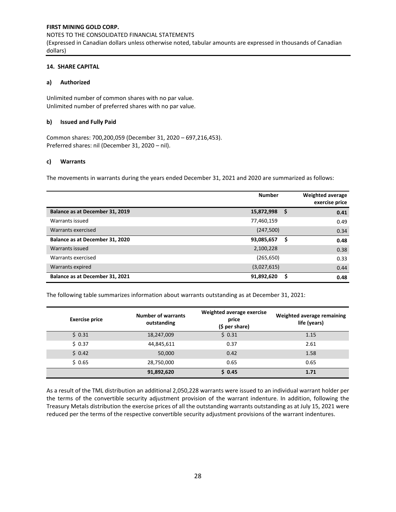## **14. SHARE CAPITAL**

# **a) Authorized**

Unlimited number of common shares with no par value. Unlimited number of preferred shares with no par value.

## **b) Issued and Fully Paid**

Common shares: 700,200,059 (December 31, 2020 – 697,216,453). Preferred shares: nil (December 31, 2020 – nil).

## **c) Warrants**

The movements in warrants during the years ended December 31, 2021 and 2020 are summarized as follows:

|                                 | <b>Number</b> |      | <b>Weighted average</b><br>exercise price |
|---------------------------------|---------------|------|-------------------------------------------|
| Balance as at December 31, 2019 | 15,872,998    | - \$ | 0.41                                      |
| Warrants issued                 | 77,460,159    |      | 0.49                                      |
| Warrants exercised              | (247,500)     |      | 0.34                                      |
| Balance as at December 31, 2020 | 93,085,657    | \$   | 0.48                                      |
| Warrants issued                 | 2,100,228     |      | 0.38                                      |
| Warrants exercised              | (265, 650)    |      | 0.33                                      |
| Warrants expired                | (3,027,615)   |      | 0.44                                      |
| Balance as at December 31, 2021 | 91,892,620    | S    | 0.48                                      |

The following table summarizes information about warrants outstanding as at December 31, 2021:

| <b>Exercise price</b> | <b>Number of warrants</b><br>outstanding | Weighted average exercise<br>price<br>$(5 per share)$ | Weighted average remaining<br>life (years) |
|-----------------------|------------------------------------------|-------------------------------------------------------|--------------------------------------------|
| \$0.31                | 18,247,009                               | \$0.31                                                | 1.15                                       |
| \$0.37                | 44,845,611                               | 0.37                                                  | 2.61                                       |
| \$0.42                | 50,000                                   | 0.42                                                  | 1.58                                       |
| \$0.65                | 28,750,000                               | 0.65                                                  | 0.65                                       |
|                       | 91,892,620                               | \$0.45                                                | 1.71                                       |

As a result of the TML distribution an additional 2,050,228 warrants were issued to an individual warrant holder per the terms of the convertible security adjustment provision of the warrant indenture. In addition, following the Treasury Metals distribution the exercise prices of all the outstanding warrants outstanding as at July 15, 2021 were reduced per the terms of the respective convertible security adjustment provisions of the warrant indentures.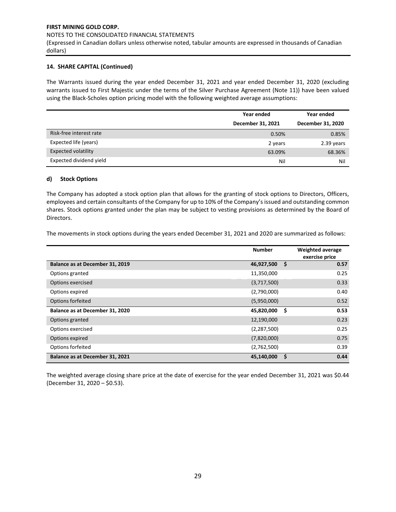# **14. SHARE CAPITAL (Continued)**

The Warrants issued during the year ended December 31, 2021 and year ended December 31, 2020 (excluding warrants issued to First Majestic under the terms of the Silver Purchase Agreement (Note 11)) have been valued using the Black-Scholes option pricing model with the following weighted average assumptions:

|                            | Year ended        | Year ended        |
|----------------------------|-------------------|-------------------|
|                            | December 31, 2021 | December 31, 2020 |
| Risk-free interest rate    | 0.50%             | 0.85%             |
| Expected life (years)      | 2 years           | 2.39 years        |
| <b>Expected volatility</b> | 63.09%            | 68.36%            |
| Expected dividend yield    | Nil               | Nil               |

#### **d) Stock Options**

The Company has adopted a stock option plan that allows for the granting of stock options to Directors, Officers, employees and certain consultants of the Company for up to 10% of the Company's issued and outstanding common shares. Stock options granted under the plan may be subject to vesting provisions as determined by the Board of Directors.

The movements in stock options during the years ended December 31, 2021 and 2020 are summarized as follows:

|                                 | <b>Number</b> |     | <b>Weighted average</b><br>exercise price |
|---------------------------------|---------------|-----|-------------------------------------------|
| Balance as at December 31, 2019 | 46,927,500    | \$  | 0.57                                      |
| Options granted                 | 11,350,000    |     | 0.25                                      |
| Options exercised               | (3,717,500)   |     | 0.33                                      |
| Options expired                 | (2,790,000)   |     | 0.40                                      |
| Options forfeited               | (5,950,000)   |     | 0.52                                      |
| Balance as at December 31, 2020 | 45,820,000    | \$. | 0.53                                      |
| Options granted                 | 12,190,000    |     | 0.23                                      |
| Options exercised               | (2, 287, 500) |     | 0.25                                      |
| Options expired                 | (7,820,000)   |     | 0.75                                      |
| Options forfeited               | (2,762,500)   |     | 0.39                                      |
| Balance as at December 31, 2021 | 45,140,000    | \$  | 0.44                                      |

The weighted average closing share price at the date of exercise for the year ended December 31, 2021 was \$0.44 (December 31, 2020 – \$0.53).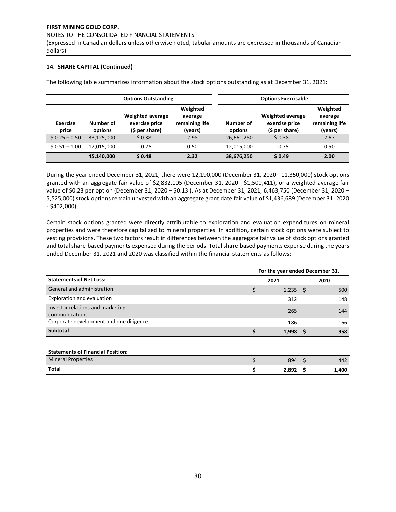#### NOTES TO THE CONSOLIDATED FINANCIAL STATEMENTS

(Expressed in Canadian dollars unless otherwise noted, tabular amounts are expressed in thousands of Canadian dollars)

# **14. SHARE CAPITAL (Continued)**

The following table summarizes information about the stock options outstanding as at December 31, 2021:

|                          |                      | <b>Options Outstanding</b>                                   |                                                  |                      | <b>Options Exercisable</b>                                   |                                                  |
|--------------------------|----------------------|--------------------------------------------------------------|--------------------------------------------------|----------------------|--------------------------------------------------------------|--------------------------------------------------|
| <b>Exercise</b><br>price | Number of<br>options | <b>Weighted average</b><br>exercise price<br>$(5 per share)$ | Weighted<br>average<br>remaining life<br>(years) | Number of<br>options | <b>Weighted average</b><br>exercise price<br>$(5 per share)$ | Weighted<br>average<br>remaining life<br>(years) |
| $$0.25 - 0.50$           | 33,125,000           | \$0.38                                                       | 2.98                                             | 26,661,250           | \$0.38                                                       | 2.67                                             |
| $$0.51 - 1.00$           | 12.015.000           | 0.75                                                         | 0.50                                             | 12,015,000           | 0.75                                                         | 0.50                                             |
|                          | 45,140,000           | \$0.48                                                       | 2.32                                             | 38,676,250           | \$0.49                                                       | 2.00                                             |

During the year ended December 31, 2021, there were 12,190,000 (December 31, 2020 - 11,350,000) stock options granted with an aggregate fair value of \$2,832,105 (December 31, 2020 - \$1,500,411), or a weighted average fair value of \$0.23 per option (December 31, 2020 – \$0.13 ). As at December 31, 2021, 6,463,750 (December 31, 2020 – 5,525,000) stock options remain unvested with an aggregate grant date fair value of \$1,436,689 (December 31, 2020 - \$402,000).

Certain stock options granted were directly attributable to exploration and evaluation expenditures on mineral properties and were therefore capitalized to mineral properties. In addition, certain stock options were subject to vesting provisions. These two factors result in differences between the aggregate fair value of stock options granted and total share-based payments expensed during the periods. Total share-based payments expense during the years ended December 31, 2021 and 2020 was classified within the financial statements as follows:

|                                                    | For the year ended December 31, |      |       |  |
|----------------------------------------------------|---------------------------------|------|-------|--|
| <b>Statements of Net Loss:</b>                     | 2021                            |      |       |  |
| General and administration                         | \$<br>1,235                     | - \$ | 500   |  |
| <b>Exploration and evaluation</b>                  | 312                             |      | 148   |  |
| Investor relations and marketing<br>communications | 265                             |      | 144   |  |
| Corporate development and due diligence            | 186                             |      | 166   |  |
| <b>Subtotal</b>                                    | 1,998                           | S    | 958   |  |
|                                                    |                                 |      |       |  |
| <b>Statements of Financial Position:</b>           |                                 |      |       |  |
| <b>Mineral Properties</b>                          | 894                             | -Ś   | 442   |  |
| <b>Total</b>                                       | 2,892                           |      | 1,400 |  |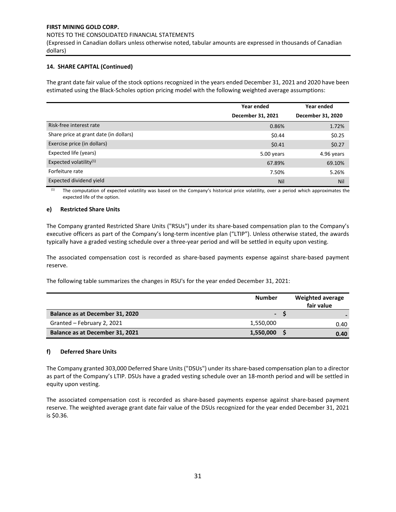#### NOTES TO THE CONSOLIDATED FINANCIAL STATEMENTS

(Expressed in Canadian dollars unless otherwise noted, tabular amounts are expressed in thousands of Canadian dollars)

# **14. SHARE CAPITAL (Continued)**

The grant date fair value of the stock options recognized in the years ended December 31, 2021 and 2020 have been estimated using the Black-Scholes option pricing model with the following weighted average assumptions:

|                                        | Year ended        | Year ended        |
|----------------------------------------|-------------------|-------------------|
|                                        | December 31, 2021 | December 31, 2020 |
| Risk-free interest rate                | 0.86%             | 1.72%             |
| Share price at grant date (in dollars) | \$0.44            | \$0.25            |
| Exercise price (in dollars)            | \$0.41            | \$0.27            |
| Expected life (years)                  | 5.00 years        | 4.96 years        |
| Expected volatility $(1)$              | 67.89%            | 69.10%            |
| Forfeiture rate                        | 7.50%             | 5.26%             |
| Expected dividend yield                | Nil               | Nil               |

(1) The computation of expected volatility was based on the Company's historical price volatility, over a period which approximates the expected life of the option.

## **e) Restricted Share Units**

The Company granted Restricted Share Units ("RSUs") under its share-based compensation plan to the Company's executive officers as part of the Company's long-term incentive plan ("LTIP"). Unless otherwise stated, the awards typically have a graded vesting schedule over a three-year period and will be settled in equity upon vesting.

The associated compensation cost is recorded as share-based payments expense against share-based payment reserve.

The following table summarizes the changes in RSU's for the year ended December 31, 2021:

|                                 | <b>Number</b>            | Weighted average<br>fair value |
|---------------------------------|--------------------------|--------------------------------|
| Balance as at December 31, 2020 | $\overline{\phantom{a}}$ |                                |
| Granted - February 2, 2021      | 1,550,000                | 0.40                           |
| Balance as at December 31, 2021 | 1,550,000                | 0.40                           |

# **f) Deferred Share Units**

The Company granted 303,000 Deferred Share Units ("DSUs") under its share-based compensation plan to a director as part of the Company's LTIP. DSUs have a graded vesting schedule over an 18-month period and will be settled in equity upon vesting.

The associated compensation cost is recorded as share-based payments expense against share-based payment reserve. The weighted average grant date fair value of the DSUs recognized for the year ended December 31, 2021 is \$0.36.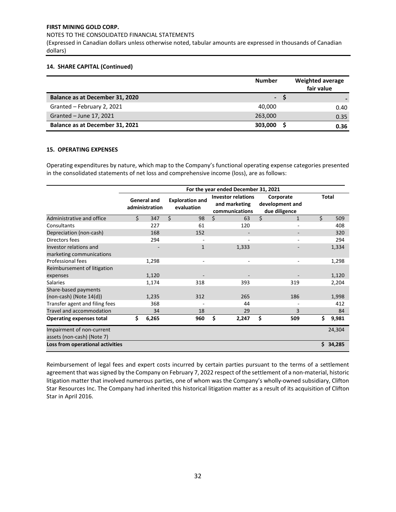NOTES TO THE CONSOLIDATED FINANCIAL STATEMENTS

(Expressed in Canadian dollars unless otherwise noted, tabular amounts are expressed in thousands of Canadian dollars)

## **14. SHARE CAPITAL (Continued)**

|                                 | <b>Number</b>  |   | <b>Weighted average</b><br>fair value |
|---------------------------------|----------------|---|---------------------------------------|
| Balance as at December 31, 2020 | $\blacksquare$ | S |                                       |
| Granted - February 2, 2021      | 40.000         |   | 0.40                                  |
| Granted - June 17, 2021         | 263,000        |   | 0.35                                  |
| Balance as at December 31, 2021 | 303,000        |   | 0.36                                  |

## **15. OPERATING EXPENSES**

Operating expenditures by nature, which map to the Company's functional operating expense categories presented in the consolidated statements of net loss and comprehensive income (loss), are as follows:

|                                                         |    |                               |                                      | For the year ended December 31, 2021 |                                                              |                                               |              |        |  |
|---------------------------------------------------------|----|-------------------------------|--------------------------------------|--------------------------------------|--------------------------------------------------------------|-----------------------------------------------|--------------|--------|--|
|                                                         |    | General and<br>administration | <b>Exploration and</b><br>evaluation |                                      | <b>Investor relations</b><br>and marketing<br>communications | Corporate<br>development and<br>due diligence | <b>Total</b> |        |  |
| Administrative and office                               | Ś. | 347                           | Ś.<br>98                             | Ś.                                   | 63                                                           | \$<br>1                                       | Ś.           | 509    |  |
| Consultants                                             |    | 227                           | 61                                   |                                      | 120                                                          | ٠                                             |              | 408    |  |
| Depreciation (non-cash)                                 |    | 168                           | 152                                  |                                      |                                                              |                                               |              | 320    |  |
| Directors fees                                          |    | 294                           |                                      |                                      |                                                              |                                               |              | 294    |  |
| Investor relations and                                  |    |                               | $\mathbf{1}$                         |                                      | 1,333                                                        |                                               |              | 1,334  |  |
| marketing communications                                |    |                               |                                      |                                      |                                                              |                                               |              |        |  |
| <b>Professional fees</b>                                |    | 1,298                         |                                      |                                      | ٠                                                            | ٠                                             |              | 1,298  |  |
| Reimbursement of litigation                             |    |                               |                                      |                                      |                                                              |                                               |              |        |  |
| expenses                                                |    | 1,120                         |                                      |                                      |                                                              |                                               |              | 1,120  |  |
| <b>Salaries</b>                                         |    | 1,174                         | 318                                  |                                      | 393                                                          | 319                                           |              | 2,204  |  |
| Share-based payments                                    |    |                               |                                      |                                      |                                                              |                                               |              |        |  |
| $(non-cash)$ (Note $14(d)$ )                            |    | 1,235                         | 312                                  |                                      | 265                                                          | 186                                           |              | 1,998  |  |
| Transfer agent and filing fees                          |    | 368                           |                                      |                                      | 44                                                           |                                               |              | 412    |  |
| Travel and accommodation                                |    | 34                            | 18                                   |                                      | 29                                                           | 3                                             |              | 84     |  |
| <b>Operating expenses total</b>                         | \$ | 6,265                         | 960                                  | \$                                   | 2,247                                                        | \$<br>509                                     | \$           | 9,981  |  |
| Impairment of non-current<br>assets (non-cash) (Note 7) |    |                               |                                      |                                      |                                                              |                                               |              | 24,304 |  |
| Loss from operational activities                        |    |                               |                                      |                                      |                                                              |                                               | Ś.           | 34,285 |  |

Reimbursement of legal fees and expert costs incurred by certain parties pursuant to the terms of a settlement agreement that was signed by the Company on February 7, 2022 respect of the settlement of a non-material, historic litigation matter that involved numerous parties, one of whom was the Company's wholly-owned subsidiary, Clifton Star Resources Inc. The Company had inherited this historical litigation matter as a result of its acquisition of Clifton Star in April 2016.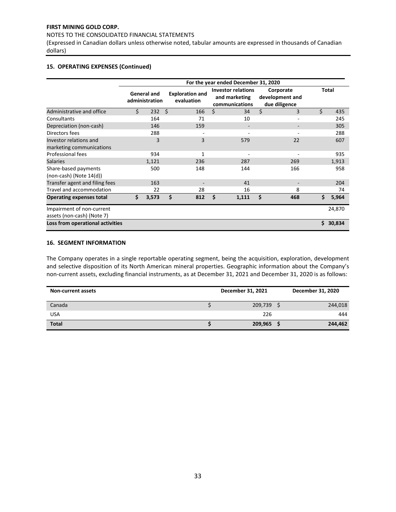## NOTES TO THE CONSOLIDATED FINANCIAL STATEMENTS

(Expressed in Canadian dollars unless otherwise noted, tabular amounts are expressed in thousands of Canadian dollars)

## **15. OPERATING EXPENSES (Continued)**

|                                                         | For the year ended December 31, 2020 |       |     |                                      |                                                              |       |    |                                               |    |              |  |  |  |  |
|---------------------------------------------------------|--------------------------------------|-------|-----|--------------------------------------|--------------------------------------------------------------|-------|----|-----------------------------------------------|----|--------------|--|--|--|--|
|                                                         | <b>General and</b><br>administration |       |     | <b>Exploration and</b><br>evaluation | <b>Investor relations</b><br>and marketing<br>communications |       |    | Corporate<br>development and<br>due diligence |    | <b>Total</b> |  |  |  |  |
| Administrative and office                               | \$                                   | 232   | - Ś | 166                                  | Ś.                                                           | 34    | \$ | 3                                             | \$ | 435          |  |  |  |  |
| Consultants                                             |                                      | 164   |     | 71                                   |                                                              | 10    |    |                                               |    | 245          |  |  |  |  |
| Depreciation (non-cash)                                 |                                      | 146   |     | 159                                  |                                                              |       |    |                                               |    | 305          |  |  |  |  |
| Directors fees                                          |                                      | 288   |     |                                      |                                                              |       |    |                                               |    | 288          |  |  |  |  |
| Investor relations and<br>marketing communications      |                                      | 3     |     | 3                                    |                                                              | 579   |    | 22                                            |    | 607          |  |  |  |  |
| Professional fees                                       |                                      | 934   |     | $\mathbf{1}$                         |                                                              |       |    |                                               |    | 935          |  |  |  |  |
| <b>Salaries</b>                                         |                                      | 1,121 |     | 236                                  |                                                              | 287   |    | 269                                           |    | 1,913        |  |  |  |  |
| Share-based payments<br>$(non-cash)$ (Note $14(d)$ )    |                                      | 500   |     | 148                                  |                                                              | 144   |    | 166                                           |    | 958          |  |  |  |  |
| Transfer agent and filing fees                          |                                      | 163   |     |                                      |                                                              | 41    |    |                                               |    | 204          |  |  |  |  |
| Travel and accommodation                                |                                      | 22    |     | 28                                   |                                                              | 16    |    | 8                                             |    | 74           |  |  |  |  |
| <b>Operating expenses total</b>                         | Ś.                                   | 3,573 | Ś.  | 812                                  | Ś                                                            | 1,111 | Ś  | 468                                           | \$ | 5,964        |  |  |  |  |
| Impairment of non-current<br>assets (non-cash) (Note 7) |                                      |       |     |                                      |                                                              |       |    |                                               |    | 24,870       |  |  |  |  |
| Loss from operational activities                        |                                      |       |     |                                      |                                                              |       |    |                                               | Ś. | 30,834       |  |  |  |  |

## **16. SEGMENT INFORMATION**

The Company operates in a single reportable operating segment, being the acquisition, exploration, development and selective disposition of its North American mineral properties. Geographic information about the Company's non-current assets, excluding financial instruments, as at December 31, 2021 and December 31, 2020 is as follows:

| <b>Non-current assets</b> | December 31, 2021 | December 31, 2020 |
|---------------------------|-------------------|-------------------|
| Canada                    | 209,739           | 244,018           |
| <b>USA</b>                | 226               | 444               |
| <b>Total</b>              | 209,965           | 244,462           |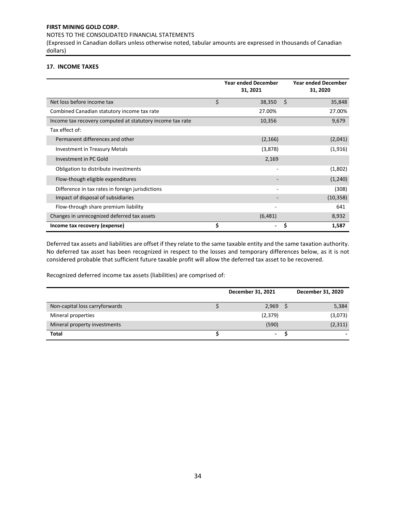NOTES TO THE CONSOLIDATED FINANCIAL STATEMENTS

(Expressed in Canadian dollars unless otherwise noted, tabular amounts are expressed in thousands of Canadian dollars)

## **17. INCOME TAXES**

|                                                           | <b>Year ended December</b><br>31, 2021 | <b>Year ended December</b><br>31, 2020 |
|-----------------------------------------------------------|----------------------------------------|----------------------------------------|
| Net loss before income tax                                | \$<br>38,350                           | \$<br>35,848                           |
| Combined Canadian statutory income tax rate               | 27.00%                                 | 27.00%                                 |
| Income tax recovery computed at statutory income tax rate | 10,356                                 | 9,679                                  |
| Tax effect of:                                            |                                        |                                        |
| Permanent differences and other                           | (2, 166)                               | (2,041)                                |
| <b>Investment in Treasury Metals</b>                      | (3,878)                                | (1,916)                                |
| Investment in PC Gold                                     | 2,169                                  |                                        |
| Obligation to distribute investments                      |                                        | (1,802)                                |
| Flow-though eligible expenditures                         |                                        | (1, 240)                               |
| Difference in tax rates in foreign jurisdictions          | $\overline{\phantom{a}}$               | (308)                                  |
| Impact of disposal of subsidiaries                        |                                        | (10, 358)                              |
| Flow-through share premium liability                      |                                        | 641                                    |
| Changes in unrecognized deferred tax assets               | (6,481)                                | 8,932                                  |
| Income tax recovery (expense)                             | \$                                     | \$<br>1,587                            |

Deferred tax assets and liabilities are offset if they relate to the same taxable entity and the same taxation authority. No deferred tax asset has been recognized in respect to the losses and temporary differences below, as it is not considered probable that sufficient future taxable profit will allow the deferred tax asset to be recovered.

Recognized deferred income tax assets (liabilities) are comprised of:

|                                | December 31, 2021 | December 31, 2020 |
|--------------------------------|-------------------|-------------------|
| Non-capital loss carryforwards | 2,969             | 5,384             |
| Mineral properties             | (2,379)           | (3,073)           |
| Mineral property investments   | (590)             | (2, 311)          |
| <b>Total</b>                   | ٠                 |                   |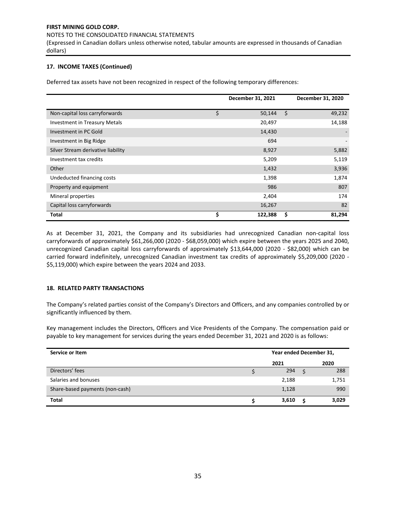#### NOTES TO THE CONSOLIDATED FINANCIAL STATEMENTS

(Expressed in Canadian dollars unless otherwise noted, tabular amounts are expressed in thousands of Canadian dollars)

# **17. INCOME TAXES (Continued)**

Deferred tax assets have not been recognized in respect of the following temporary differences:

|                                    | December 31, 2021 | December 31, 2020 |
|------------------------------------|-------------------|-------------------|
| Non-capital loss carryforwards     | \$<br>50,144      | \$<br>49,232      |
| Investment in Treasury Metals      | 20,497            | 14,188            |
| Investment in PC Gold              | 14,430            |                   |
| Investment in Big Ridge            | 694               |                   |
| Silver Stream derivative liability | 8,927             | 5,882             |
| Investment tax credits             | 5,209             | 5,119             |
| Other                              | 1,432             | 3,936             |
| Undeducted financing costs         | 1,398             | 1,874             |
| Property and equipment             | 986               | 807               |
| Mineral properties                 | 2,404             | 174               |
| Capital loss carryforwards         | 16,267            | 82                |
| <b>Total</b>                       | \$<br>122,388     | \$<br>81,294      |

As at December 31, 2021, the Company and its subsidiaries had unrecognized Canadian non-capital loss carryforwards of approximately \$61,266,000 (2020 - \$68,059,000) which expire between the years 2025 and 2040, unrecognized Canadian capital loss carryforwards of approximately \$13,644,000 (2020 - \$82,000) which can be carried forward indefinitely, unrecognized Canadian investment tax credits of approximately \$5,209,000 (2020 - \$5,119,000) which expire between the years 2024 and 2033.

# **18. RELATED PARTY TRANSACTIONS**

The Company's related parties consist of the Company's Directors and Officers, and any companies controlled by or significantly influenced by them.

Key management includes the Directors, Officers and Vice Presidents of the Company. The compensation paid or payable to key management for services during the years ended December 31, 2021 and 2020 is as follows:

| Service or Item                 | Year ended December 31, |      |       |  |  |  |
|---------------------------------|-------------------------|------|-------|--|--|--|
|                                 | 2021                    | 2020 |       |  |  |  |
| Directors' fees                 | 294                     | Ś    | 288   |  |  |  |
| Salaries and bonuses            | 2,188                   |      | 1,751 |  |  |  |
| Share-based payments (non-cash) | 1,128                   |      | 990   |  |  |  |
| <b>Total</b>                    | 3,610                   | c    | 3,029 |  |  |  |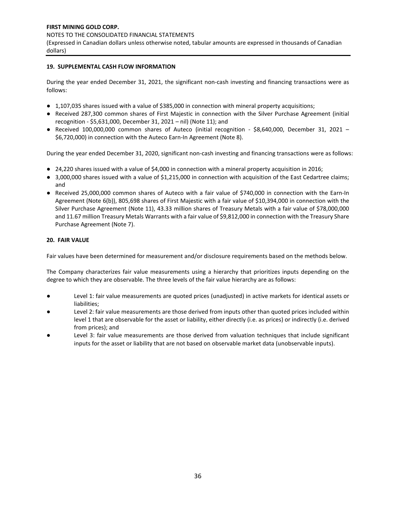# **19. SUPPLEMENTAL CASH FLOW INFORMATION**

During the year ended December 31, 2021, the significant non-cash investing and financing transactions were as follows:

- 1,107,035 shares issued with a value of \$385,000 in connection with mineral property acquisitions;
- Received 287,300 common shares of First Majestic in connection with the Silver Purchase Agreement (initial recognition - \$5,631,000, December 31, 2021 – nil) (Note 11); and
- Received 100,000,000 common shares of Auteco (initial recognition \$8,640,000, December 31, 2021 -\$6,720,000) in connection with the Auteco Earn-In Agreement (Note 8).

During the year ended December 31, 2020, significant non-cash investing and financing transactions were as follows:

- 24,220 shares issued with a value of \$4,000 in connection with a mineral property acquisition in 2016;
- 3,000,000 shares issued with a value of \$1,215,000 in connection with acquisition of the East Cedartree claims; and
- Received 25,000,000 common shares of Auteco with a fair value of \$740,000 in connection with the Earn-In Agreement (Note 6(b)), 805,698 shares of First Majestic with a fair value of \$10,394,000 in connection with the Silver Purchase Agreement (Note 11), 43.33 million shares of Treasury Metals with a fair value of \$78,000,000 and 11.67 million Treasury Metals Warrants with a fair value of \$9,812,000 in connection with the Treasury Share Purchase Agreement (Note 7).

# **20. FAIR VALUE**

Fair values have been determined for measurement and/or disclosure requirements based on the methods below.

The Company characterizes fair value measurements using a hierarchy that prioritizes inputs depending on the degree to which they are observable. The three levels of the fair value hierarchy are as follows:

- Level 1: fair value measurements are quoted prices (unadjusted) in active markets for identical assets or liabilities;
- Level 2: fair value measurements are those derived from inputs other than quoted prices included within level 1 that are observable for the asset or liability, either directly (i.e. as prices) or indirectly (i.e. derived from prices); and
- Level 3: fair value measurements are those derived from valuation techniques that include significant inputs for the asset or liability that are not based on observable market data (unobservable inputs).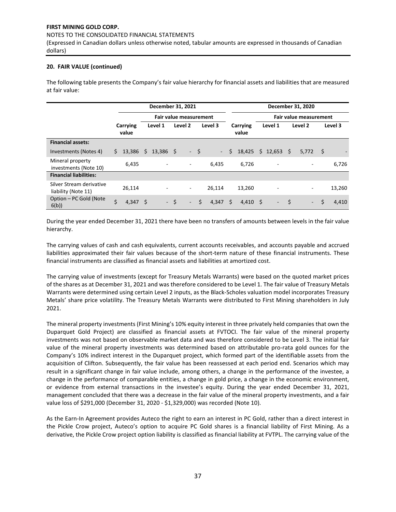#### NOTES TO THE CONSOLIDATED FINANCIAL STATEMENTS

(Expressed in Canadian dollars unless otherwise noted, tabular amounts are expressed in thousands of Canadian dollars)

# **20. FAIR VALUE (continued)**

The following table presents the Company's fair value hierarchy for financial assets and liabilities that are measured at fair value:

|                                                 |    |                   | December 31, 2021 |                        |      |                          |      | December 31, 2020 |    |                   |  |                          |    |                               |      |         |
|-------------------------------------------------|----|-------------------|-------------------|------------------------|------|--------------------------|------|-------------------|----|-------------------|--|--------------------------|----|-------------------------------|------|---------|
|                                                 |    |                   |                   | Fair value measurement |      |                          |      |                   |    |                   |  |                          |    | <b>Fair value measurement</b> |      |         |
|                                                 |    | Carrying<br>value |                   | Level 1                |      | Level 2                  |      | Level 3           |    | Carrying<br>value |  | Level 1                  |    | Level 2                       |      | Level 3 |
| <b>Financial assets:</b>                        |    |                   |                   |                        |      |                          |      |                   |    |                   |  |                          |    |                               |      |         |
| Investments (Notes 4)                           | Ś. | 13,386            | \$                | $13,386$ \$            |      |                          | $-5$ | $\sim$            | Ś. | 18,425            |  | $$12,653$ \$             |    | 5.772                         | - \$ |         |
| Mineral property<br>investments (Note 10)       |    | 6,435             |                   |                        |      | $\overline{\phantom{a}}$ |      | 6,435             |    | 6,726             |  |                          |    |                               |      | 6,726   |
| <b>Financial liabilities:</b>                   |    |                   |                   |                        |      |                          |      |                   |    |                   |  |                          |    |                               |      |         |
| Silver Stream derivative<br>liability (Note 11) |    | 26,114            |                   |                        |      | $\overline{\phantom{a}}$ |      | 26,114            |    | 13,260            |  | $\overline{a}$           |    | ٠                             |      | 13,260  |
| Option – PC Gold (Note<br>6(b)                  | Ś. | 4,347             | - Ś               |                        | $-5$ | $\overline{\phantom{a}}$ | Ś.   | 4,347             | Ś  | $4,410 \quad$ \$  |  | $\overline{\phantom{a}}$ | S. | $\overline{\phantom{a}}$      | \$   | 4,410   |

During the year ended December 31, 2021 there have been no transfers of amounts between levels in the fair value hierarchy.

The carrying values of cash and cash equivalents, current accounts receivables, and accounts payable and accrued liabilities approximated their fair values because of the short-term nature of these financial instruments. These financial instruments are classified as financial assets and liabilities at amortized cost.

The carrying value of investments (except for Treasury Metals Warrants) were based on the quoted market prices of the shares as at December 31, 2021 and was therefore considered to be Level 1. The fair value of Treasury Metals Warrants were determined using certain Level 2 inputs, as the Black-Scholes valuation model incorporates Treasury Metals' share price volatility. The Treasury Metals Warrants were distributed to First Mining shareholders in July 2021.

The mineral property investments (First Mining's 10% equity interest in three privately held companies that own the Duparquet Gold Project) are classified as financial assets at FVTOCI. The fair value of the mineral property investments was not based on observable market data and was therefore considered to be Level 3. The initial fair value of the mineral property investments was determined based on attributable pro-rata gold ounces for the Company's 10% indirect interest in the Duparquet project, which formed part of the identifiable assets from the acquisition of Clifton. Subsequently, the fair value has been reassessed at each period end. Scenarios which may result in a significant change in fair value include, among others, a change in the performance of the investee, a change in the performance of comparable entities, a change in gold price, a change in the economic environment, or evidence from external transactions in the investee's equity. During the year ended December 31, 2021, management concluded that there was a decrease in the fair value of the mineral property investments, and a fair value loss of \$291,000 (December 31, 2020 - \$1,329,000) was recorded (Note 10).

As the Earn-In Agreement provides Auteco the right to earn an interest in PC Gold, rather than a direct interest in the Pickle Crow project, Auteco's option to acquire PC Gold shares is a financial liability of First Mining. As a derivative, the Pickle Crow project option liability is classified as financial liability at FVTPL. The carrying value of the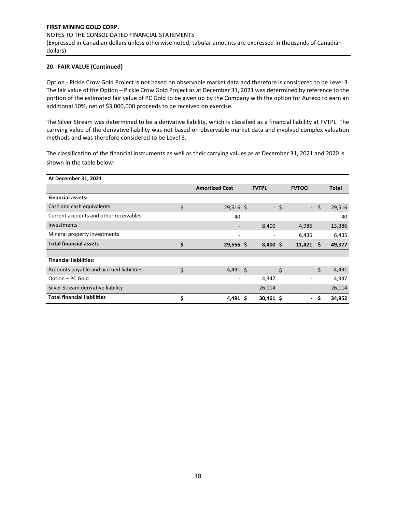(Expressed in Canadian dollars unless otherwise noted, tabular amounts are expressed in thousands of Canadian dollars)

# **20. FAIR VALUE (Continued)**

Option - Pickle Crow Gold Project is not based on observable market data and therefore is considered to be Level 3. The fair value of the Option – Pickle Crow Gold Project as at December 31, 2021 was determined by reference to the portion of the estimated fair value of PC Gold to be given up by the Company with the option for Auteco to earn an additional 10%, net of \$3,000,000 proceeds to be received on exercise.

The Silver Stream was determined to be a derivative liability, which is classified as a financial liability at FVTPL. The carrying value of the derivative liability was not based on observable market data and involved complex valuation methods and was therefore considered to be Level 3.

The classification of the financial instruments as well as their carrying values as at December 31, 2021 and 2020 is shown in the table below:

| <b>At December 31, 2021</b>              |                       |                              |      |                          |      |              |
|------------------------------------------|-----------------------|------------------------------|------|--------------------------|------|--------------|
|                                          | <b>Amortized Cost</b> | <b>FVTPL</b>                 |      | <b>FVTOCI</b>            |      | <b>Total</b> |
| <b>Financial assets:</b>                 |                       |                              |      |                          |      |              |
| Cash and cash equivalents                | \$<br>$29,516$ \$     |                              | - \$ | $\sim$                   | Ś.   | 29,516       |
| Current accounts and other receivables   | 40                    | $\overline{\phantom{a}}$     |      |                          |      | 40           |
| <b>Investments</b>                       |                       | 8,400                        |      | 4,986                    |      | 13,386       |
| Mineral property investments             |                       | $\qquad \qquad \blacksquare$ |      | 6,435                    |      | 6,435        |
| <b>Total financial assets</b>            | \$<br>$29,556$ \$     | $8,400$ \$                   |      | 11,421                   | \$.  | 49,377       |
|                                          |                       |                              |      |                          |      |              |
| <b>Financial liabilities:</b>            |                       |                              |      |                          |      |              |
| Accounts payable and accrued liabilities | \$<br>$4,491$ \$      |                              | - \$ |                          | $-5$ | 4,491        |
| Option - PC Gold                         |                       | 4,347                        |      |                          |      | 4,347        |
| Silver Stream derivative liability       |                       | 26,114                       |      | $\overline{\phantom{a}}$ |      | 26,114       |
| <b>Total financial liabilities</b>       | \$<br>4,491 \$        | $30,461$ \$                  |      | $\overline{\phantom{0}}$ | Ś    | 34,952       |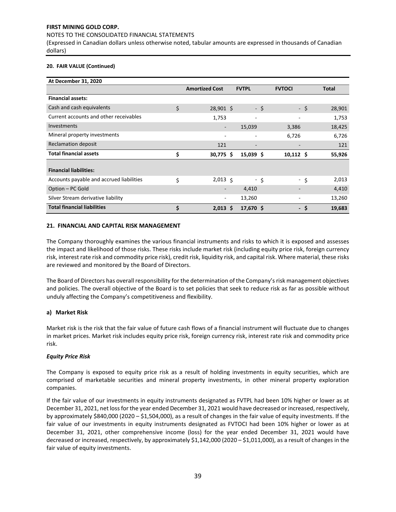# NOTES TO THE CONSOLIDATED FINANCIAL STATEMENTS

(Expressed in Canadian dollars unless otherwise noted, tabular amounts are expressed in thousands of Canadian dollars)

## **20. FAIR VALUE (Continued)**

| At December 31, 2020                     |                       |              |                              |                |
|------------------------------------------|-----------------------|--------------|------------------------------|----------------|
|                                          | <b>Amortized Cost</b> | <b>FVTPL</b> | <b>FVTOCI</b>                | <b>Total</b>   |
| <b>Financial assets:</b>                 |                       |              |                              |                |
| Cash and cash equivalents                | \$<br>$28,901$ \$     |              | - \$                         | - \$<br>28,901 |
| Current accounts and other receivables   | 1,753                 | ٠            | $\qquad \qquad \blacksquare$ | 1,753          |
| <b>Investments</b>                       | -                     | 15,039       | 3,386                        | 18,425         |
| Mineral property investments             |                       | ٠            | 6,726                        | 6,726          |
| Reclamation deposit                      | 121                   |              |                              | 121            |
| <b>Total financial assets</b>            | \$<br>30,775 \$       | $15,039$ \$  | $10,112 \text{ }$            | 55,926         |
|                                          |                       |              |                              |                |
| <b>Financial liabilities:</b>            |                       |              |                              |                |
| Accounts payable and accrued liabilities | \$<br>$2,013 \leq$    |              | - \$                         | 2,013<br>- \$  |
| Option - PC Gold                         |                       | 4,410        |                              | 4,410          |
| Silver Stream derivative liability       | ٠                     | 13,260       |                              | 13,260         |
| <b>Total financial liabilities</b>       | \$<br>$2,013 \quad $$ | 17,670 \$    |                              | - \$<br>19,683 |

# **21. FINANCIAL AND CAPITAL RISK MANAGEMENT**

The Company thoroughly examines the various financial instruments and risks to which it is exposed and assesses the impact and likelihood of those risks. These risks include market risk (including equity price risk, foreign currency risk, interest rate risk and commodity price risk), credit risk, liquidity risk, and capital risk. Where material, these risks are reviewed and monitored by the Board of Directors.

The Board of Directors has overall responsibility for the determination of the Company's risk management objectives and policies. The overall objective of the Board is to set policies that seek to reduce risk as far as possible without unduly affecting the Company's competitiveness and flexibility.

# **a) Market Risk**

Market risk is the risk that the fair value of future cash flows of a financial instrument will fluctuate due to changes in market prices. Market risk includes equity price risk, foreign currency risk, interest rate risk and commodity price risk.

# *Equity Price Risk*

The Company is exposed to equity price risk as a result of holding investments in equity securities, which are comprised of marketable securities and mineral property investments, in other mineral property exploration companies.

If the fair value of our investments in equity instruments designated as FVTPL had been 10% higher or lower as at December 31, 2021, net loss for the year ended December 31, 2021 would have decreased or increased, respectively, by approximately \$840,000 (2020 – \$1,504,000), as a result of changes in the fair value of equity investments. If the fair value of our investments in equity instruments designated as FVTOCI had been 10% higher or lower as at December 31, 2021, other comprehensive income (loss) for the year ended December 31, 2021 would have decreased or increased, respectively, by approximately \$1,142,000 (2020 – \$1,011,000), as a result of changes in the fair value of equity investments.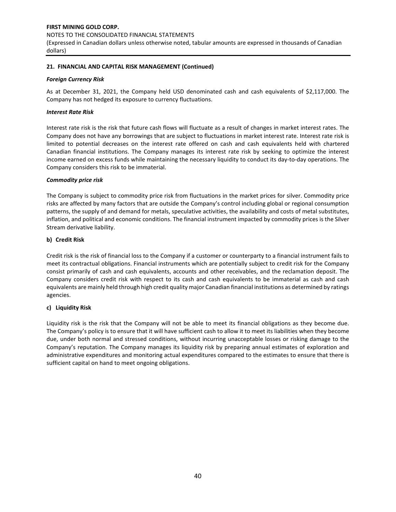# **FIRST MINING GOLD CORP.**  NOTES TO THE CONSOLIDATED FINANCIAL STATEMENTS (Expressed in Canadian dollars unless otherwise noted, tabular amounts are expressed in thousands of Canadian dollars)

# **21. FINANCIAL AND CAPITAL RISK MANAGEMENT (Continued)**

## *Foreign Currency Risk*

As at December 31, 2021, the Company held USD denominated cash and cash equivalents of \$2,117,000. The Company has not hedged its exposure to currency fluctuations.

## *Interest Rate Risk*

Interest rate risk is the risk that future cash flows will fluctuate as a result of changes in market interest rates. The Company does not have any borrowings that are subject to fluctuations in market interest rate. Interest rate risk is limited to potential decreases on the interest rate offered on cash and cash equivalents held with chartered Canadian financial institutions. The Company manages its interest rate risk by seeking to optimize the interest income earned on excess funds while maintaining the necessary liquidity to conduct its day-to-day operations. The Company considers this risk to be immaterial.

## *Commodity price risk*

The Company is subject to commodity price risk from fluctuations in the market prices for silver. Commodity price risks are affected by many factors that are outside the Company's control including global or regional consumption patterns, the supply of and demand for metals, speculative activities, the availability and costs of metal substitutes, inflation, and political and economic conditions. The financial instrument impacted by commodity prices is the Silver Stream derivative liability.

## **b) Credit Risk**

Credit risk is the risk of financial loss to the Company if a customer or counterparty to a financial instrument fails to meet its contractual obligations. Financial instruments which are potentially subject to credit risk for the Company consist primarily of cash and cash equivalents, accounts and other receivables, and the reclamation deposit. The Company considers credit risk with respect to its cash and cash equivalents to be immaterial as cash and cash equivalents are mainly held through high credit quality major Canadian financial institutions as determined by ratings agencies.

# **c) Liquidity Risk**

Liquidity risk is the risk that the Company will not be able to meet its financial obligations as they become due. The Company's policy is to ensure that it will have sufficient cash to allow it to meet its liabilities when they become due, under both normal and stressed conditions, without incurring unacceptable losses or risking damage to the Company's reputation. The Company manages its liquidity risk by preparing annual estimates of exploration and administrative expenditures and monitoring actual expenditures compared to the estimates to ensure that there is sufficient capital on hand to meet ongoing obligations.